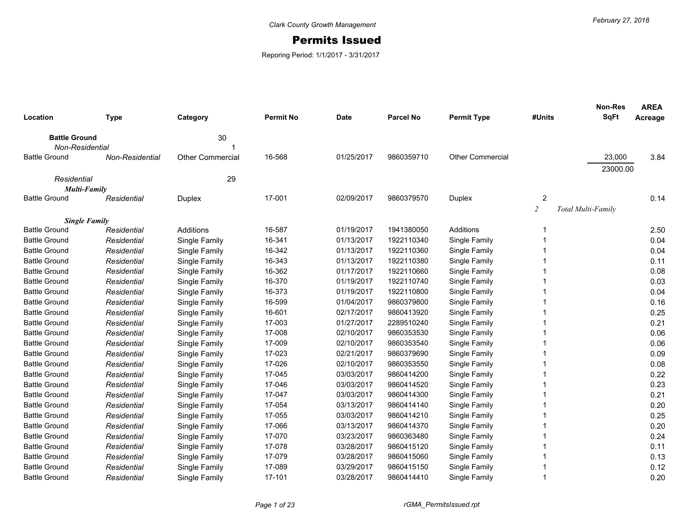## Permits Issued

Reporing Period: 1/1/2017 - 3/31/2017

| Location                                    | <b>Type</b>     | Category                | <b>Permit No</b> | <b>Date</b> | <b>Parcel No</b> | <b>Permit Type</b>      | #Units         | <b>Non-Res</b><br><b>SqFt</b> | <b>AREA</b><br>Acreage |
|---------------------------------------------|-----------------|-------------------------|------------------|-------------|------------------|-------------------------|----------------|-------------------------------|------------------------|
|                                             |                 |                         |                  |             |                  |                         |                |                               |                        |
| <b>Battle Ground</b>                        |                 | 30                      |                  |             |                  |                         |                |                               |                        |
| Non-Residential                             |                 |                         |                  |             |                  |                         |                |                               |                        |
| <b>Battle Ground</b>                        | Non-Residential | <b>Other Commercial</b> | 16-568           | 01/25/2017  | 9860359710       | <b>Other Commercial</b> |                | 23,000                        | 3.84                   |
|                                             |                 |                         |                  |             |                  |                         |                | 23000.00                      |                        |
| Residential                                 |                 | 29                      |                  |             |                  |                         |                |                               |                        |
| <b>Multi-Family</b><br><b>Battle Ground</b> | Residential     | Duplex                  | 17-001           | 02/09/2017  | 9860379570       | Duplex                  | 2              |                               | 0.14                   |
|                                             |                 |                         |                  |             |                  |                         | $\overline{2}$ | Total Multi-Family            |                        |
| <b>Single Family</b>                        |                 |                         |                  |             |                  |                         |                |                               |                        |
| <b>Battle Ground</b>                        | Residential     | Additions               | 16-587           | 01/19/2017  | 1941380050       | Additions               | -1             |                               | 2.50                   |
| <b>Battle Ground</b>                        | Residential     | Single Family           | 16-341           | 01/13/2017  | 1922110340       | Single Family           |                |                               | 0.04                   |
| <b>Battle Ground</b>                        | Residential     | Single Family           | 16-342           | 01/13/2017  | 1922110360       | Single Family           |                |                               | 0.04                   |
| <b>Battle Ground</b>                        | Residential     | Single Family           | 16-343           | 01/13/2017  | 1922110380       | Single Family           |                |                               | 0.11                   |
| <b>Battle Ground</b>                        | Residential     | Single Family           | 16-362           | 01/17/2017  | 1922110660       | Single Family           |                |                               | 0.08                   |
| <b>Battle Ground</b>                        | Residential     | Single Family           | 16-370           | 01/19/2017  | 1922110740       | Single Family           |                |                               | 0.03                   |
| <b>Battle Ground</b>                        | Residential     | Single Family           | 16-373           | 01/19/2017  | 1922110800       | Single Family           |                |                               | 0.04                   |
| <b>Battle Ground</b>                        | Residential     | Single Family           | 16-599           | 01/04/2017  | 9860379800       | Single Family           |                |                               | 0.16                   |
| <b>Battle Ground</b>                        | Residential     | Single Family           | 16-601           | 02/17/2017  | 9860413920       | Single Family           |                |                               | 0.25                   |
| <b>Battle Ground</b>                        | Residential     | Single Family           | 17-003           | 01/27/2017  | 2289510240       | Single Family           |                |                               | 0.21                   |
| <b>Battle Ground</b>                        | Residential     | Single Family           | 17-008           | 02/10/2017  | 9860353530       | Single Family           |                |                               | 0.06                   |
| <b>Battle Ground</b>                        | Residential     | Single Family           | 17-009           | 02/10/2017  | 9860353540       | Single Family           |                |                               | 0.06                   |
| <b>Battle Ground</b>                        | Residential     | Single Family           | 17-023           | 02/21/2017  | 9860379690       | Single Family           |                |                               | 0.09                   |
| <b>Battle Ground</b>                        | Residential     | Single Family           | 17-026           | 02/10/2017  | 9860353550       | Single Family           |                |                               | 0.08                   |
| <b>Battle Ground</b>                        | Residential     | Single Family           | 17-045           | 03/03/2017  | 9860414200       | Single Family           |                |                               | 0.22                   |
| <b>Battle Ground</b>                        | Residential     | Single Family           | 17-046           | 03/03/2017  | 9860414520       | Single Family           |                |                               | 0.23                   |
| <b>Battle Ground</b>                        | Residential     | Single Family           | 17-047           | 03/03/2017  | 9860414300       | Single Family           |                |                               | 0.21                   |
| <b>Battle Ground</b>                        | Residential     | Single Family           | 17-054           | 03/13/2017  | 9860414140       | Single Family           |                |                               | 0.20                   |
| <b>Battle Ground</b>                        | Residential     | Single Family           | 17-055           | 03/03/2017  | 9860414210       | Single Family           |                |                               | 0.25                   |
| <b>Battle Ground</b>                        | Residential     | Single Family           | 17-066           | 03/13/2017  | 9860414370       | Single Family           |                |                               | 0.20                   |
| <b>Battle Ground</b>                        | Residential     | Single Family           | 17-070           | 03/23/2017  | 9860363480       | Single Family           |                |                               | 0.24                   |
| <b>Battle Ground</b>                        | Residential     | Single Family           | 17-078           | 03/28/2017  | 9860415120       | Single Family           |                |                               | 0.11                   |
| <b>Battle Ground</b>                        | Residential     | Single Family           | 17-079           | 03/28/2017  | 9860415060       | Single Family           |                |                               | 0.13                   |
| <b>Battle Ground</b>                        | Residential     | Single Family           | 17-089           | 03/29/2017  | 9860415150       | Single Family           |                |                               | 0.12                   |
| <b>Battle Ground</b>                        | Residential     | Single Family           | 17-101           | 03/28/2017  | 9860414410       | Single Family           | 1              |                               | 0.20                   |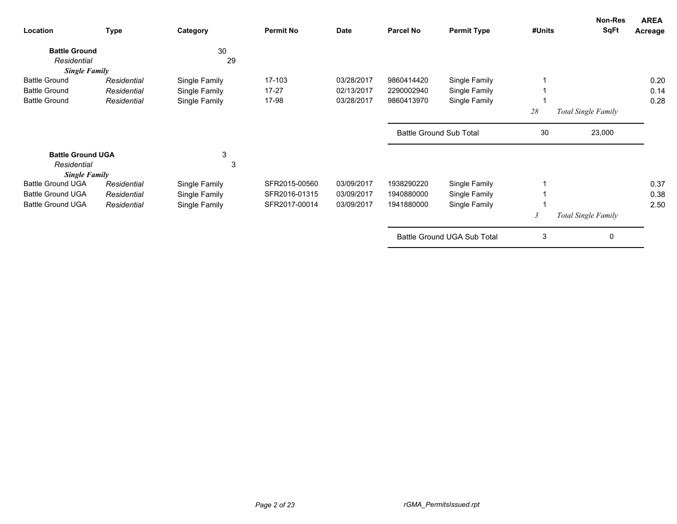| Location                            | <b>Type</b> | Category      | <b>Permit No</b> | <b>Date</b> | <b>Parcel No</b> | <b>Permit Type</b>             | #Units                  | Non-Res<br><b>SqFt</b> | <b>AREA</b><br>Acreage |
|-------------------------------------|-------------|---------------|------------------|-------------|------------------|--------------------------------|-------------------------|------------------------|------------------------|
| <b>Battle Ground</b><br>Residential |             | 30<br>29      |                  |             |                  |                                |                         |                        |                        |
| <b>Single Family</b>                |             |               |                  |             |                  |                                |                         |                        |                        |
| <b>Battle Ground</b>                | Residential | Single Family | 17-103           | 03/28/2017  | 9860414420       | Single Family                  |                         |                        | 0.20                   |
| <b>Battle Ground</b>                | Residential | Single Family | $17 - 27$        | 02/13/2017  | 2290002940       | Single Family                  |                         |                        | 0.14                   |
| <b>Battle Ground</b>                | Residential | Single Family | 17-98            | 03/28/2017  | 9860413970       | Single Family                  |                         |                        | 0.28                   |
|                                     |             |               |                  |             |                  |                                | 28                      | Total Single Family    |                        |
|                                     |             |               |                  |             |                  | <b>Battle Ground Sub Total</b> | 30                      | 23,000                 |                        |
| <b>Battle Ground UGA</b>            |             | 3             |                  |             |                  |                                |                         |                        |                        |
| Residential                         |             | 3             |                  |             |                  |                                |                         |                        |                        |
| <b>Single Family</b>                |             |               |                  |             |                  |                                |                         |                        |                        |
| <b>Battle Ground UGA</b>            | Residential | Single Family | SFR2015-00560    | 03/09/2017  | 1938290220       | Single Family                  |                         |                        | 0.37                   |
| <b>Battle Ground UGA</b>            | Residential | Single Family | SFR2016-01315    | 03/09/2017  | 1940880000       | Single Family                  |                         |                        | 0.38                   |
| <b>Battle Ground UGA</b>            | Residential | Single Family | SFR2017-00014    | 03/09/2017  | 1941880000       | Single Family                  |                         |                        | 2.50                   |
|                                     |             |               |                  |             |                  |                                | $\overline{\mathbf{3}}$ | Total Single Family    |                        |
|                                     |             |               |                  |             |                  | Battle Ground UGA Sub Total    | 3                       | 0                      |                        |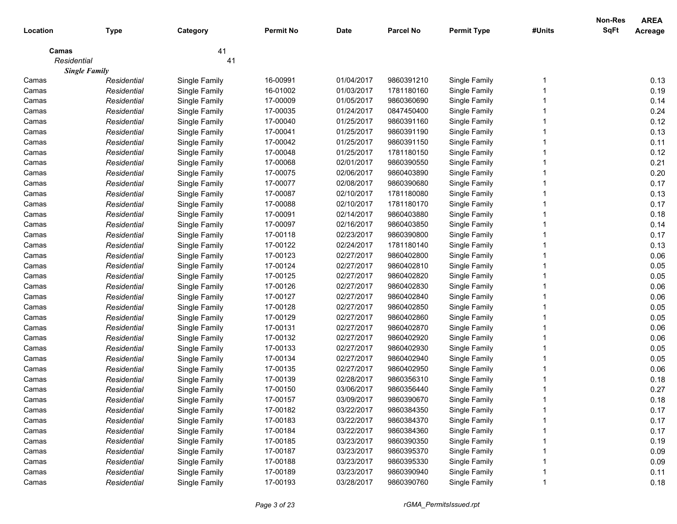|             |                      |               |                  |             |                  |                    |        | Non-Res     | <b>AREA</b>    |
|-------------|----------------------|---------------|------------------|-------------|------------------|--------------------|--------|-------------|----------------|
| Location    | <b>Type</b>          | Category      | <b>Permit No</b> | <b>Date</b> | <b>Parcel No</b> | <b>Permit Type</b> | #Units | <b>SqFt</b> | <b>Acreage</b> |
| Camas       |                      | 41            |                  |             |                  |                    |        |             |                |
| Residential |                      | 41            |                  |             |                  |                    |        |             |                |
|             | <b>Single Family</b> |               |                  |             |                  |                    |        |             |                |
| Camas       | Residential          | Single Family | 16-00991         | 01/04/2017  | 9860391210       | Single Family      |        |             | 0.13           |
| Camas       | Residential          | Single Family | 16-01002         | 01/03/2017  | 1781180160       | Single Family      |        |             | 0.19           |
| Camas       | Residential          | Single Family | 17-00009         | 01/05/2017  | 9860360690       | Single Family      |        |             | 0.14           |
| Camas       | Residential          | Single Family | 17-00035         | 01/24/2017  | 0847450400       | Single Family      |        |             | 0.24           |
| Camas       | Residential          | Single Family | 17-00040         | 01/25/2017  | 9860391160       | Single Family      |        |             | 0.12           |
| Camas       | Residential          | Single Family | 17-00041         | 01/25/2017  | 9860391190       | Single Family      |        |             | 0.13           |
| Camas       | Residential          | Single Family | 17-00042         | 01/25/2017  | 9860391150       | Single Family      |        |             | 0.11           |
| Camas       | Residential          | Single Family | 17-00048         | 01/25/2017  | 1781180150       | Single Family      |        |             | 0.12           |
| Camas       | Residential          | Single Family | 17-00068         | 02/01/2017  | 9860390550       | Single Family      |        |             | 0.21           |
| Camas       | Residential          | Single Family | 17-00075         | 02/06/2017  | 9860403890       | Single Family      |        |             | 0.20           |
| Camas       | Residential          | Single Family | 17-00077         | 02/08/2017  | 9860390680       | Single Family      |        |             | 0.17           |
| Camas       | Residential          | Single Family | 17-00087         | 02/10/2017  | 1781180080       | Single Family      |        |             | 0.13           |
| Camas       | Residential          | Single Family | 17-00088         | 02/10/2017  | 1781180170       | Single Family      |        |             | 0.17           |
| Camas       | Residential          | Single Family | 17-00091         | 02/14/2017  | 9860403880       | Single Family      |        |             | 0.18           |
| Camas       | Residential          | Single Family | 17-00097         | 02/16/2017  | 9860403850       | Single Family      |        |             | 0.14           |
| Camas       | Residential          | Single Family | 17-00118         | 02/23/2017  | 9860390800       | Single Family      |        |             | 0.17           |
| Camas       | Residential          | Single Family | 17-00122         | 02/24/2017  | 1781180140       | Single Family      |        |             | 0.13           |
| Camas       | Residential          | Single Family | 17-00123         | 02/27/2017  | 9860402800       | Single Family      |        |             | 0.06           |
| Camas       | Residential          | Single Family | 17-00124         | 02/27/2017  | 9860402810       | Single Family      |        |             | 0.05           |
| Camas       | Residential          | Single Family | 17-00125         | 02/27/2017  | 9860402820       | Single Family      |        |             | 0.05           |
| Camas       | Residential          | Single Family | 17-00126         | 02/27/2017  | 9860402830       | Single Family      |        |             | 0.06           |
| Camas       | Residential          | Single Family | 17-00127         | 02/27/2017  | 9860402840       | Single Family      |        |             | 0.06           |
| Camas       | Residential          | Single Family | 17-00128         | 02/27/2017  | 9860402850       | Single Family      |        |             | 0.05           |
| Camas       | Residential          | Single Family | 17-00129         | 02/27/2017  | 9860402860       | Single Family      |        |             | 0.05           |
| Camas       | Residential          | Single Family | 17-00131         | 02/27/2017  | 9860402870       | Single Family      |        |             | 0.06           |
| Camas       | Residential          | Single Family | 17-00132         | 02/27/2017  | 9860402920       | Single Family      |        |             | 0.06           |
| Camas       | Residential          | Single Family | 17-00133         | 02/27/2017  | 9860402930       | Single Family      |        |             | 0.05           |
| Camas       | Residential          | Single Family | 17-00134         | 02/27/2017  | 9860402940       | Single Family      |        |             | 0.05           |
| Camas       | Residential          | Single Family | 17-00135         | 02/27/2017  | 9860402950       | Single Family      |        |             | 0.06           |
| Camas       | Residential          | Single Family | 17-00139         | 02/28/2017  | 9860356310       | Single Family      |        |             | 0.18           |
| Camas       | Residential          | Single Family | 17-00150         | 03/06/2017  | 9860356440       | Single Family      |        |             | 0.27           |
| Camas       | Residential          | Single Family | 17-00157         | 03/09/2017  | 9860390670       | Single Family      |        |             | 0.18           |
| Camas       | Residential          | Single Family | 17-00182         | 03/22/2017  | 9860384350       | Single Family      |        |             | 0.17           |
| Camas       | Residential          | Single Family | 17-00183         | 03/22/2017  | 9860384370       | Single Family      |        |             | 0.17           |
| Camas       | Residential          | Single Family | 17-00184         | 03/22/2017  | 9860384360       | Single Family      |        |             | 0.17           |
| Camas       | Residential          | Single Family | 17-00185         | 03/23/2017  | 9860390350       | Single Family      |        |             | 0.19           |
| Camas       | Residential          | Single Family | 17-00187         | 03/23/2017  | 9860395370       | Single Family      |        |             | 0.09           |
| Camas       | Residential          | Single Family | 17-00188         | 03/23/2017  | 9860395330       | Single Family      |        |             | 0.09           |
| Camas       | Residential          | Single Family | 17-00189         | 03/23/2017  | 9860390940       | Single Family      |        |             | 0.11           |
| Camas       | Residential          | Single Family | 17-00193         | 03/28/2017  | 9860390760       | Single Family      |        |             | 0.18           |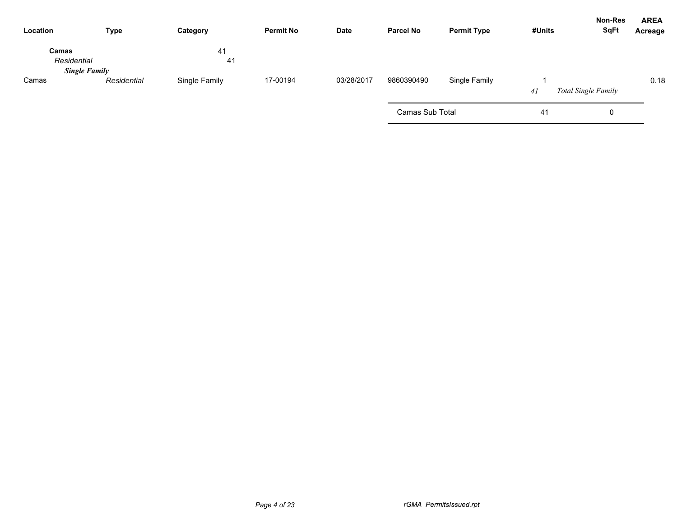| Location             | <b>Type</b>          | Category      | <b>Permit No</b> | Date       | <b>Parcel No</b> | <b>Permit Type</b> | #Units | <b>Non-Res</b><br><b>SqFt</b> | <b>AREA</b><br>Acreage |
|----------------------|----------------------|---------------|------------------|------------|------------------|--------------------|--------|-------------------------------|------------------------|
| Camas<br>Residential | <b>Single Family</b> | 41<br>41      |                  |            |                  |                    |        |                               |                        |
| Camas                | Residential          | Single Family | 17-00194         | 03/28/2017 | 9860390490       | Single Family      | 41     | <b>Total Single Family</b>    | 0.18                   |
|                      |                      |               |                  |            | Camas Sub Total  |                    | 41     | 0                             |                        |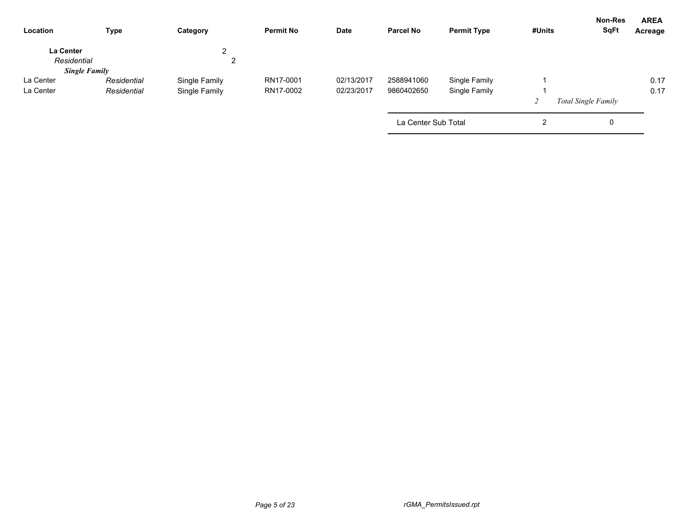| Location                 | <b>Type</b>          | Category      | <b>Permit No</b> | Date       | <b>Parcel No</b>    | <b>Permit Type</b> | #Units | Non-Res<br><b>SqFt</b>     | <b>AREA</b><br>Acreage |
|--------------------------|----------------------|---------------|------------------|------------|---------------------|--------------------|--------|----------------------------|------------------------|
| La Center<br>Residential |                      | C<br>∠        |                  |            |                     |                    |        |                            |                        |
|                          | <b>Single Family</b> |               |                  |            |                     |                    |        |                            |                        |
| La Center                | Residential          | Single Family | RN17-0001        | 02/13/2017 | 2588941060          | Single Family      |        |                            | 0.17                   |
| La Center                | Residential          | Single Family | RN17-0002        | 02/23/2017 | 9860402650          | Single Family      |        |                            | 0.17                   |
|                          |                      |               |                  |            |                     |                    |        | <b>Total Single Family</b> |                        |
|                          |                      |               |                  |            | La Center Sub Total |                    | ∠      | 0                          |                        |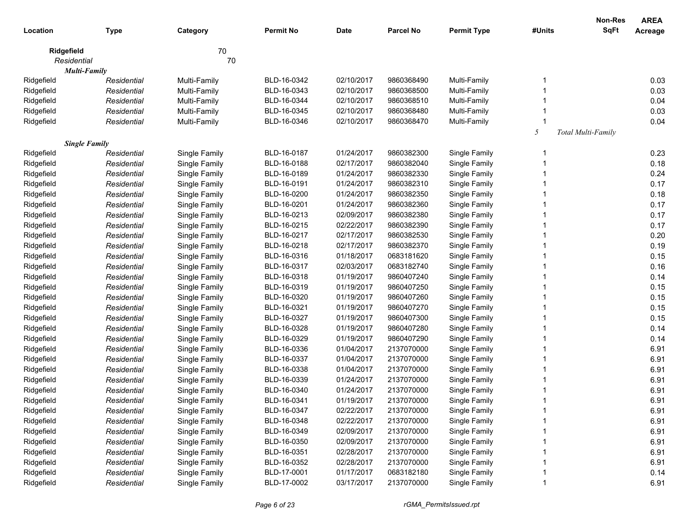|            |                      |               |                  |             |                  |                    |        | <b>Non-Res</b>     | <b>AREA</b> |
|------------|----------------------|---------------|------------------|-------------|------------------|--------------------|--------|--------------------|-------------|
| Location   | <b>Type</b>          | Category      | <b>Permit No</b> | <b>Date</b> | <b>Parcel No</b> | <b>Permit Type</b> | #Units | <b>SqFt</b>        | Acreage     |
|            | Ridgefield           | 70            |                  |             |                  |                    |        |                    |             |
|            | Residential          | 70            |                  |             |                  |                    |        |                    |             |
|            | Multi-Family         |               |                  |             |                  |                    |        |                    |             |
| Ridgefield | Residential          | Multi-Family  | BLD-16-0342      | 02/10/2017  | 9860368490       | Multi-Family       |        |                    | 0.03        |
| Ridgefield | Residential          | Multi-Family  | BLD-16-0343      | 02/10/2017  | 9860368500       | Multi-Family       |        |                    | 0.03        |
| Ridgefield | Residential          | Multi-Family  | BLD-16-0344      | 02/10/2017  | 9860368510       | Multi-Family       |        |                    | 0.04        |
| Ridgefield | Residential          | Multi-Family  | BLD-16-0345      | 02/10/2017  | 9860368480       | Multi-Family       |        |                    | 0.03        |
| Ridgefield | Residential          | Multi-Family  | BLD-16-0346      | 02/10/2017  | 9860368470       | Multi-Family       |        |                    | 0.04        |
|            |                      |               |                  |             |                  |                    | 5      | Total Multi-Family |             |
|            | <b>Single Family</b> |               |                  |             |                  |                    |        |                    |             |
| Ridgefield | Residential          | Single Family | BLD-16-0187      | 01/24/2017  | 9860382300       | Single Family      |        |                    | 0.23        |
| Ridgefield | Residential          | Single Family | BLD-16-0188      | 02/17/2017  | 9860382040       | Single Family      |        |                    | 0.18        |
| Ridgefield | Residential          | Single Family | BLD-16-0189      | 01/24/2017  | 9860382330       | Single Family      |        |                    | 0.24        |
| Ridgefield | Residential          | Single Family | BLD-16-0191      | 01/24/2017  | 9860382310       | Single Family      |        |                    | 0.17        |
| Ridgefield | Residential          | Single Family | BLD-16-0200      | 01/24/2017  | 9860382350       | Single Family      |        |                    | 0.18        |
| Ridgefield | Residential          | Single Family | BLD-16-0201      | 01/24/2017  | 9860382360       | Single Family      |        |                    | 0.17        |
| Ridgefield | Residential          | Single Family | BLD-16-0213      | 02/09/2017  | 9860382380       | Single Family      |        |                    | 0.17        |
| Ridgefield | Residential          | Single Family | BLD-16-0215      | 02/22/2017  | 9860382390       | Single Family      |        |                    | 0.17        |
| Ridgefield | Residential          | Single Family | BLD-16-0217      | 02/17/2017  | 9860382530       | Single Family      |        |                    | 0.20        |
| Ridgefield | Residential          | Single Family | BLD-16-0218      | 02/17/2017  | 9860382370       | Single Family      |        |                    | 0.19        |
| Ridgefield | Residential          | Single Family | BLD-16-0316      | 01/18/2017  | 0683181620       | Single Family      |        |                    | 0.15        |
| Ridgefield | Residential          | Single Family | BLD-16-0317      | 02/03/2017  | 0683182740       | Single Family      |        |                    | 0.16        |
| Ridgefield | Residential          | Single Family | BLD-16-0318      | 01/19/2017  | 9860407240       | Single Family      |        |                    | 0.14        |
| Ridgefield | Residential          | Single Family | BLD-16-0319      | 01/19/2017  | 9860407250       | Single Family      |        |                    | 0.15        |
| Ridgefield | Residential          | Single Family | BLD-16-0320      | 01/19/2017  | 9860407260       | Single Family      |        |                    | 0.15        |
| Ridgefield | Residential          | Single Family | BLD-16-0321      | 01/19/2017  | 9860407270       | Single Family      |        |                    | 0.15        |
| Ridgefield | Residential          | Single Family | BLD-16-0327      | 01/19/2017  | 9860407300       | Single Family      |        |                    | 0.15        |
| Ridgefield | Residential          | Single Family | BLD-16-0328      | 01/19/2017  | 9860407280       | Single Family      |        |                    | 0.14        |
| Ridgefield | Residential          | Single Family | BLD-16-0329      | 01/19/2017  | 9860407290       | Single Family      |        |                    | 0.14        |
| Ridgefield | Residential          | Single Family | BLD-16-0336      | 01/04/2017  | 2137070000       | Single Family      |        |                    | 6.91        |
| Ridgefield | Residential          | Single Family | BLD-16-0337      | 01/04/2017  | 2137070000       | Single Family      |        |                    | 6.91        |
| Ridgefield | Residential          | Single Family | BLD-16-0338      | 01/04/2017  | 2137070000       | Single Family      |        |                    | 6.91        |
| Ridgefield | Residential          | Single Family | BLD-16-0339      | 01/24/2017  | 2137070000       | Single Family      |        |                    | 6.91        |
| Ridgefield | Residential          | Single Family | BLD-16-0340      | 01/24/2017  | 2137070000       | Single Family      |        |                    | 6.91        |
| Ridgefield | Residential          | Single Family | BLD-16-0341      | 01/19/2017  | 2137070000       | Single Family      |        |                    | 6.91        |
| Ridgefield | Residential          | Single Family | BLD-16-0347      | 02/22/2017  | 2137070000       | Single Family      |        |                    | 6.91        |
| Ridgefield | Residential          | Single Family | BLD-16-0348      | 02/22/2017  | 2137070000       | Single Family      |        |                    | 6.91        |
| Ridgefield | Residential          | Single Family | BLD-16-0349      | 02/09/2017  | 2137070000       | Single Family      |        |                    | 6.91        |
| Ridgefield | Residential          | Single Family | BLD-16-0350      | 02/09/2017  | 2137070000       | Single Family      |        |                    | 6.91        |
| Ridgefield | Residential          | Single Family | BLD-16-0351      | 02/28/2017  | 2137070000       | Single Family      |        |                    | 6.91        |
| Ridgefield | Residential          | Single Family | BLD-16-0352      | 02/28/2017  | 2137070000       | Single Family      |        |                    | 6.91        |
| Ridgefield | Residential          | Single Family | BLD-17-0001      | 01/17/2017  | 0683182180       | Single Family      |        |                    | 0.14        |
| Ridgefield | Residential          | Single Family | BLD-17-0002      | 03/17/2017  | 2137070000       | Single Family      |        |                    | 6.91        |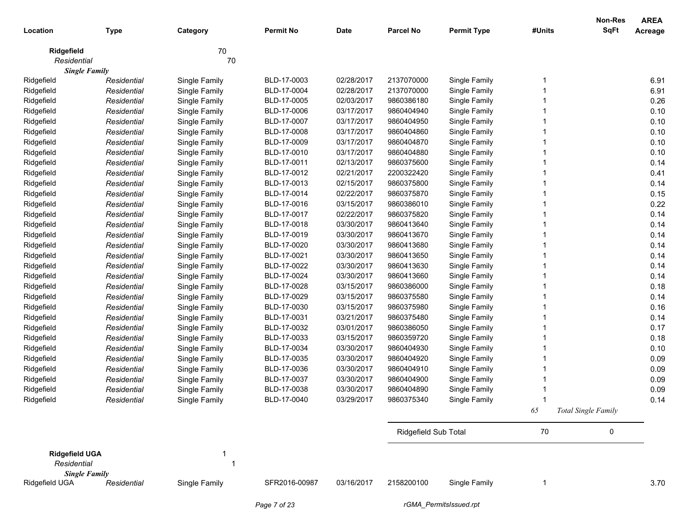|                       |             |               |                  |             |                      |                    |        | <b>Non-Res</b>             | <b>AREA</b> |
|-----------------------|-------------|---------------|------------------|-------------|----------------------|--------------------|--------|----------------------------|-------------|
| Location              | <b>Type</b> | Category      | <b>Permit No</b> | <b>Date</b> | <b>Parcel No</b>     | <b>Permit Type</b> | #Units | <b>SqFt</b>                | Acreage     |
| Ridgefield            |             | 70            |                  |             |                      |                    |        |                            |             |
| Residential           |             | 70            |                  |             |                      |                    |        |                            |             |
| <b>Single Family</b>  |             |               |                  |             |                      |                    |        |                            |             |
| Ridgefield            | Residential | Single Family | BLD-17-0003      | 02/28/2017  | 2137070000           | Single Family      |        |                            | 6.91        |
| Ridgefield            | Residential | Single Family | BLD-17-0004      | 02/28/2017  | 2137070000           | Single Family      |        |                            | 6.91        |
| Ridgefield            | Residential | Single Family | BLD-17-0005      | 02/03/2017  | 9860386180           | Single Family      |        |                            | 0.26        |
| Ridgefield            | Residential | Single Family | BLD-17-0006      | 03/17/2017  | 9860404940           | Single Family      |        |                            | 0.10        |
| Ridgefield            | Residential | Single Family | BLD-17-0007      | 03/17/2017  | 9860404950           | Single Family      |        |                            | 0.10        |
| Ridgefield            | Residential | Single Family | BLD-17-0008      | 03/17/2017  | 9860404860           | Single Family      |        |                            | 0.10        |
| Ridgefield            | Residential | Single Family | BLD-17-0009      | 03/17/2017  | 9860404870           | Single Family      |        |                            | 0.10        |
| Ridgefield            | Residential | Single Family | BLD-17-0010      | 03/17/2017  | 9860404880           | Single Family      |        |                            | 0.10        |
| Ridgefield            | Residential | Single Family | BLD-17-0011      | 02/13/2017  | 9860375600           | Single Family      |        |                            | 0.14        |
| Ridgefield            | Residential | Single Family | BLD-17-0012      | 02/21/2017  | 2200322420           | Single Family      |        |                            | 0.41        |
| Ridgefield            | Residential | Single Family | BLD-17-0013      | 02/15/2017  | 9860375800           | Single Family      |        |                            | 0.14        |
| Ridgefield            | Residential | Single Family | BLD-17-0014      | 02/22/2017  | 9860375870           | Single Family      |        |                            | 0.15        |
| Ridgefield            | Residential | Single Family | BLD-17-0016      | 03/15/2017  | 9860386010           | Single Family      |        |                            | 0.22        |
| Ridgefield            | Residential | Single Family | BLD-17-0017      | 02/22/2017  | 9860375820           | Single Family      |        |                            | 0.14        |
| Ridgefield            | Residential | Single Family | BLD-17-0018      | 03/30/2017  | 9860413640           | Single Family      |        |                            | 0.14        |
| Ridgefield            | Residential | Single Family | BLD-17-0019      | 03/30/2017  | 9860413670           | Single Family      |        |                            | 0.14        |
| Ridgefield            | Residential | Single Family | BLD-17-0020      | 03/30/2017  | 9860413680           | Single Family      |        |                            | 0.14        |
| Ridgefield            | Residential | Single Family | BLD-17-0021      | 03/30/2017  | 9860413650           | Single Family      |        |                            | 0.14        |
| Ridgefield            | Residential | Single Family | BLD-17-0022      | 03/30/2017  | 9860413630           | Single Family      |        |                            | 0.14        |
| Ridgefield            | Residential | Single Family | BLD-17-0024      | 03/30/2017  | 9860413660           | Single Family      |        |                            | 0.14        |
| Ridgefield            | Residential | Single Family | BLD-17-0028      | 03/15/2017  | 9860386000           | Single Family      |        |                            | 0.18        |
| Ridgefield            | Residential | Single Family | BLD-17-0029      | 03/15/2017  | 9860375580           | Single Family      |        |                            | 0.14        |
| Ridgefield            | Residential | Single Family | BLD-17-0030      | 03/15/2017  | 9860375980           | Single Family      |        |                            | 0.16        |
| Ridgefield            | Residential | Single Family | BLD-17-0031      | 03/21/2017  | 9860375480           | Single Family      |        |                            | 0.14        |
| Ridgefield            | Residential | Single Family | BLD-17-0032      | 03/01/2017  | 9860386050           | Single Family      |        |                            | 0.17        |
| Ridgefield            | Residential | Single Family | BLD-17-0033      | 03/15/2017  | 9860359720           | Single Family      |        |                            | 0.18        |
| Ridgefield            | Residential | Single Family | BLD-17-0034      | 03/30/2017  | 9860404930           | Single Family      |        |                            | 0.10        |
| Ridgefield            | Residential | Single Family | BLD-17-0035      | 03/30/2017  | 9860404920           | Single Family      |        |                            | 0.09        |
| Ridgefield            | Residential | Single Family | BLD-17-0036      | 03/30/2017  | 9860404910           | Single Family      |        |                            | 0.09        |
| Ridgefield            | Residential | Single Family | BLD-17-0037      | 03/30/2017  | 9860404900           | Single Family      |        |                            | 0.09        |
| Ridgefield            | Residential | Single Family | BLD-17-0038      | 03/30/2017  | 9860404890           | Single Family      |        |                            | 0.09        |
| Ridgefield            | Residential | Single Family | BLD-17-0040      | 03/29/2017  | 9860375340           | Single Family      |        |                            | 0.14        |
|                       |             |               |                  |             |                      |                    | 65     | <b>Total Single Family</b> |             |
|                       |             |               |                  |             | Ridgefield Sub Total |                    | 70     | 0                          |             |
|                       |             |               |                  |             |                      |                    |        |                            |             |
| <b>Ridgefield UGA</b> |             | 1             |                  |             |                      |                    |        |                            |             |
| Residential           |             | 1             |                  |             |                      |                    |        |                            |             |
| <b>Single Family</b>  |             |               |                  |             |                      |                    |        |                            |             |
| Ridgefield UGA        | Residential | Single Family | SFR2016-00987    | 03/16/2017  | 2158200100           | Single Family      | 1      |                            | 3.70        |
|                       |             |               |                  |             |                      |                    |        |                            |             |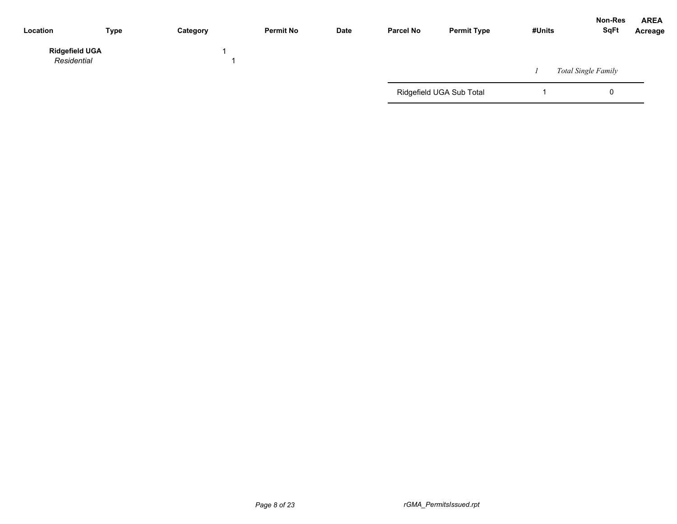| Location                             | <b>Type</b> | Category | <b>Permit No</b> | Date | <b>Parcel No</b> | <b>Permit Type</b>       | #Units | <b>Non-Res</b><br><b>SqFt</b> | <b>AREA</b><br>Acreage |
|--------------------------------------|-------------|----------|------------------|------|------------------|--------------------------|--------|-------------------------------|------------------------|
| <b>Ridgefield UGA</b><br>Residential |             |          |                  |      |                  |                          |        | <b>Total Single Family</b>    |                        |
|                                      |             |          |                  |      |                  | Ridgefield UGA Sub Total |        |                               |                        |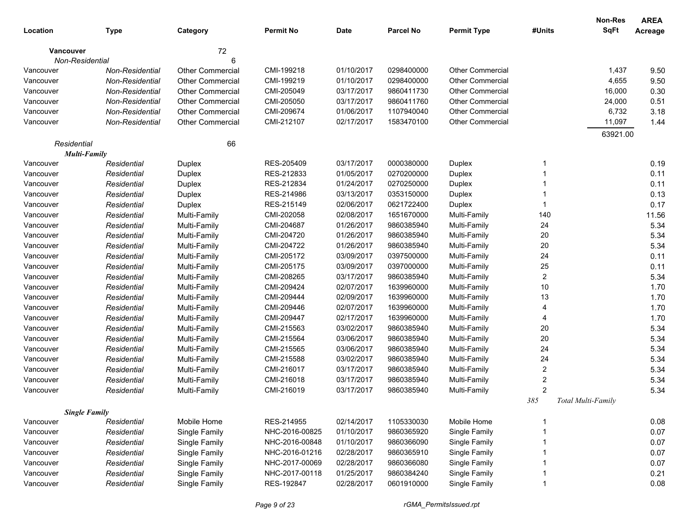|                        |                        |                         |                  |             |                  |                         |                | <b>Non-Res</b>     | <b>AREA</b> |
|------------------------|------------------------|-------------------------|------------------|-------------|------------------|-------------------------|----------------|--------------------|-------------|
| Location               | <b>Type</b>            | Category                | <b>Permit No</b> | <b>Date</b> | <b>Parcel No</b> | <b>Permit Type</b>      | #Units         | <b>SqFt</b>        | Acreage     |
| Vancouver              |                        | 72                      |                  |             |                  |                         |                |                    |             |
| <b>Non-Residential</b> |                        | 6                       |                  |             |                  |                         |                |                    |             |
| Vancouver              | Non-Residential        | Other Commercial        | CMI-199218       | 01/10/2017  | 0298400000       | <b>Other Commercial</b> |                | 1,437              | 9.50        |
| Vancouver              | <b>Non-Residential</b> | <b>Other Commercial</b> | CMI-199219       | 01/10/2017  | 0298400000       | <b>Other Commercial</b> |                | 4,655              | 9.50        |
| Vancouver              | Non-Residential        | <b>Other Commercial</b> | CMI-205049       | 03/17/2017  | 9860411730       | <b>Other Commercial</b> |                | 16,000             | 0.30        |
| Vancouver              | Non-Residential        | <b>Other Commercial</b> | CMI-205050       | 03/17/2017  | 9860411760       | <b>Other Commercial</b> |                | 24,000             | 0.51        |
| Vancouver              | Non-Residential        | <b>Other Commercial</b> | CMI-209674       | 01/06/2017  | 1107940040       | <b>Other Commercial</b> |                | 6,732              | 3.18        |
| Vancouver              | Non-Residential        | <b>Other Commercial</b> | CMI-212107       | 02/17/2017  | 1583470100       | <b>Other Commercial</b> |                | 11,097             | 1.44        |
|                        |                        |                         |                  |             |                  |                         |                | 63921.00           |             |
| Residential            |                        | 66                      |                  |             |                  |                         |                |                    |             |
| <b>Multi-Family</b>    |                        |                         |                  |             |                  |                         |                |                    |             |
| Vancouver              | Residential            | Duplex                  | RES-205409       | 03/17/2017  | 0000380000       | Duplex                  | -1             |                    | 0.19        |
| Vancouver              | Residential            | Duplex                  | RES-212833       | 01/05/2017  | 0270200000       | Duplex                  |                |                    | 0.11        |
| Vancouver              | Residential            | Duplex                  | RES-212834       | 01/24/2017  | 0270250000       | Duplex                  |                |                    | 0.11        |
| Vancouver              | Residential            | Duplex                  | RES-214986       | 03/13/2017  | 0353150000       | Duplex                  |                |                    | 0.13        |
| Vancouver              | Residential            | Duplex                  | RES-215149       | 02/06/2017  | 0621722400       | Duplex                  |                |                    | 0.17        |
| Vancouver              | Residential            | Multi-Family            | CMI-202058       | 02/08/2017  | 1651670000       | Multi-Family            | 140            |                    | 11.56       |
| Vancouver              | Residential            | Multi-Family            | CMI-204687       | 01/26/2017  | 9860385940       | Multi-Family            | 24             |                    | 5.34        |
| Vancouver              | Residential            | Multi-Family            | CMI-204720       | 01/26/2017  | 9860385940       | Multi-Family            | 20             |                    | 5.34        |
| Vancouver              | Residential            | Multi-Family            | CMI-204722       | 01/26/2017  | 9860385940       | Multi-Family            | 20             |                    | 5.34        |
| Vancouver              | Residential            | Multi-Family            | CMI-205172       | 03/09/2017  | 0397500000       | Multi-Family            | 24             |                    | 0.11        |
| Vancouver              | Residential            | Multi-Family            | CMI-205175       | 03/09/2017  | 0397000000       | Multi-Family            | 25             |                    | 0.11        |
| Vancouver              | Residential            | Multi-Family            | CMI-208265       | 03/17/2017  | 9860385940       | Multi-Family            | $\overline{2}$ |                    | 5.34        |
| Vancouver              | Residential            | Multi-Family            | CMI-209424       | 02/07/2017  | 1639960000       | Multi-Family            | 10             |                    | 1.70        |
| Vancouver              | Residential            | Multi-Family            | CMI-209444       | 02/09/2017  | 1639960000       | Multi-Family            | 13             |                    | 1.70        |
| Vancouver              | Residential            | Multi-Family            | CMI-209446       | 02/07/2017  | 1639960000       | Multi-Family            | 4              |                    | 1.70        |
| Vancouver              | Residential            | Multi-Family            | CMI-209447       | 02/17/2017  | 1639960000       | Multi-Family            | 4              |                    | 1.70        |
| Vancouver              | Residential            | Multi-Family            | CMI-215563       | 03/02/2017  | 9860385940       | Multi-Family            | 20             |                    | 5.34        |
| Vancouver              | Residential            | Multi-Family            | CMI-215564       | 03/06/2017  | 9860385940       | Multi-Family            | 20             |                    | 5.34        |
| Vancouver              | Residential            | Multi-Family            | CMI-215565       | 03/06/2017  | 9860385940       | Multi-Family            | 24             |                    | 5.34        |
| Vancouver              | Residential            | Multi-Family            | CMI-215588       | 03/02/2017  | 9860385940       | Multi-Family            | 24             |                    | 5.34        |
| Vancouver              | Residential            | Multi-Family            | CMI-216017       | 03/17/2017  | 9860385940       | Multi-Family            | 2              |                    | 5.34        |
| Vancouver              | Residential            | Multi-Family            | CMI-216018       | 03/17/2017  | 9860385940       | Multi-Family            | $\overline{c}$ |                    | 5.34        |
| Vancouver              | Residential            | Multi-Family            | CMI-216019       | 03/17/2017  | 9860385940       | Multi-Family            | $\overline{2}$ |                    | 5.34        |
|                        |                        |                         |                  |             |                  |                         | 385            | Total Multi-Family |             |
|                        | <b>Single Family</b>   |                         |                  |             |                  |                         |                |                    |             |
| Vancouver              | Residential            | Mobile Home             | RES-214955       | 02/14/2017  | 1105330030       | Mobile Home             |                |                    | 0.08        |
| Vancouver              | Residential            | Single Family           | NHC-2016-00825   | 01/10/2017  | 9860365920       | Single Family           |                |                    | 0.07        |
| Vancouver              | Residential            | Single Family           | NHC-2016-00848   | 01/10/2017  | 9860366090       | Single Family           |                |                    | 0.07        |
| Vancouver              | Residential            | Single Family           | NHC-2016-01216   | 02/28/2017  | 9860365910       | Single Family           |                |                    | 0.07        |
| Vancouver              | Residential            | Single Family           | NHC-2017-00069   | 02/28/2017  | 9860366080       | Single Family           |                |                    | 0.07        |
| Vancouver              | Residential            | Single Family           | NHC-2017-00118   | 01/25/2017  | 9860384240       | Single Family           |                |                    | 0.21        |
| Vancouver              | Residential            | Single Family           | RES-192847       | 02/28/2017  | 0601910000       | Single Family           |                |                    | 0.08        |
|                        |                        |                         |                  |             |                  |                         |                |                    |             |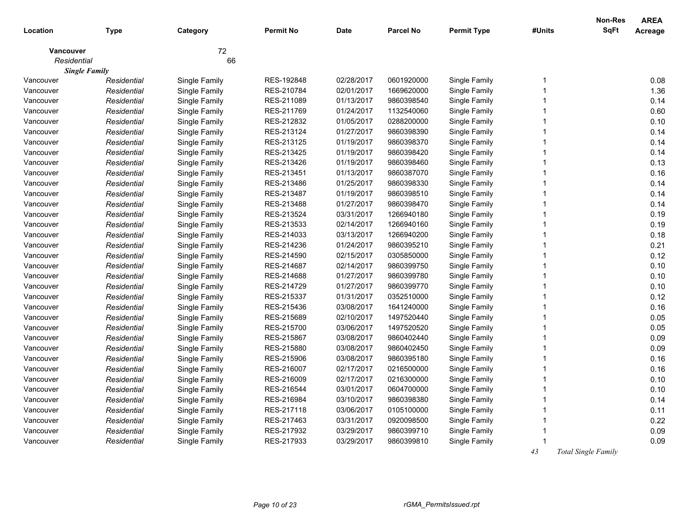|                  |                      |               |                  |            |                  |                    |                         | <b>Non-Res</b><br><b>SqFt</b> | <b>AREA</b> |
|------------------|----------------------|---------------|------------------|------------|------------------|--------------------|-------------------------|-------------------------------|-------------|
| Location         | <b>Type</b>          | Category      | <b>Permit No</b> | Date       | <b>Parcel No</b> | <b>Permit Type</b> | #Units                  |                               | Acreage     |
| <b>Vancouver</b> |                      | 72            |                  |            |                  |                    |                         |                               |             |
| Residential      |                      | 66            |                  |            |                  |                    |                         |                               |             |
|                  | <b>Single Family</b> |               |                  |            |                  |                    |                         |                               |             |
| Vancouver        | Residential          | Single Family | RES-192848       | 02/28/2017 | 0601920000       | Single Family      | -1                      |                               | 0.08        |
| Vancouver        | Residential          | Single Family | RES-210784       | 02/01/2017 | 1669620000       | Single Family      | 1                       |                               | 1.36        |
| Vancouver        | Residential          | Single Family | RES-211089       | 01/13/2017 | 9860398540       | Single Family      | 1                       |                               | 0.14        |
| Vancouver        | Residential          | Single Family | RES-211769       | 01/24/2017 | 1132540060       | Single Family      | 1                       |                               | 0.60        |
| Vancouver        | Residential          | Single Family | RES-212832       | 01/05/2017 | 0288200000       | Single Family      | $\overline{1}$          |                               | 0.10        |
| Vancouver        | Residential          | Single Family | RES-213124       | 01/27/2017 | 9860398390       | Single Family      | 1                       |                               | 0.14        |
| Vancouver        | Residential          | Single Family | RES-213125       | 01/19/2017 | 9860398370       | Single Family      | $\overline{1}$          |                               | 0.14        |
| Vancouver        | Residential          | Single Family | RES-213425       | 01/19/2017 | 9860398420       | Single Family      | 1                       |                               | 0.14        |
| Vancouver        | Residential          | Single Family | RES-213426       | 01/19/2017 | 9860398460       | Single Family      | $\overline{1}$          |                               | 0.13        |
| Vancouver        | Residential          | Single Family | RES-213451       | 01/13/2017 | 9860387070       | Single Family      | 1                       |                               | 0.16        |
| Vancouver        | Residential          | Single Family | RES-213486       | 01/25/2017 | 9860398330       | Single Family      | 1                       |                               | 0.14        |
| Vancouver        | Residential          | Single Family | RES-213487       | 01/19/2017 | 9860398510       | Single Family      | 1                       |                               | 0.14        |
| Vancouver        | Residential          | Single Family | RES-213488       | 01/27/2017 | 9860398470       | Single Family      | 1                       |                               | 0.14        |
| Vancouver        | Residential          | Single Family | RES-213524       | 03/31/2017 | 1266940180       | Single Family      | 1                       |                               | 0.19        |
| Vancouver        | Residential          | Single Family | RES-213533       | 02/14/2017 | 1266940160       | Single Family      | 1                       |                               | 0.19        |
| Vancouver        | Residential          | Single Family | RES-214033       | 03/13/2017 | 1266940200       | Single Family      |                         |                               | 0.18        |
| Vancouver        | Residential          | Single Family | RES-214236       | 01/24/2017 | 9860395210       | Single Family      | 1                       |                               | 0.21        |
| Vancouver        | Residential          | Single Family | RES-214590       | 02/15/2017 | 0305850000       | Single Family      | 1                       |                               | 0.12        |
| Vancouver        | Residential          | Single Family | RES-214687       | 02/14/2017 | 9860399750       | Single Family      | 1                       |                               | 0.10        |
| Vancouver        | Residential          | Single Family | RES-214688       | 01/27/2017 | 9860399780       | Single Family      | 1                       |                               | 0.10        |
| Vancouver        | Residential          | Single Family | RES-214729       | 01/27/2017 | 9860399770       | Single Family      | 1                       |                               | 0.10        |
| Vancouver        | Residential          | Single Family | RES-215337       | 01/31/2017 | 0352510000       | Single Family      | $\overline{1}$          |                               | 0.12        |
| Vancouver        | Residential          | Single Family | RES-215436       | 03/08/2017 | 1641240000       | Single Family      | 1                       |                               | 0.16        |
| Vancouver        | Residential          | Single Family | RES-215689       | 02/10/2017 | 1497520440       | Single Family      | 1                       |                               | 0.05        |
| Vancouver        | Residential          | Single Family | RES-215700       | 03/06/2017 | 1497520520       | Single Family      | 1                       |                               | 0.05        |
| Vancouver        | Residential          | Single Family | RES-215867       | 03/08/2017 | 9860402440       | Single Family      | $\overline{1}$          |                               | 0.09        |
| Vancouver        | Residential          | Single Family | RES-215880       | 03/08/2017 | 9860402450       | Single Family      | 1                       |                               | 0.09        |
| Vancouver        | Residential          | Single Family | RES-215906       | 03/08/2017 | 9860395180       | Single Family      | 1                       |                               | 0.16        |
| Vancouver        | Residential          | Single Family | RES-216007       | 02/17/2017 | 0216500000       | Single Family      | -1                      |                               | 0.16        |
| Vancouver        | Residential          | Single Family | RES-216009       | 02/17/2017 | 0216300000       | Single Family      | $\overline{1}$          |                               | 0.10        |
| Vancouver        | Residential          | Single Family | RES-216544       | 03/01/2017 | 0604700000       | Single Family      | $\overline{\mathbf{1}}$ |                               | 0.10        |
| Vancouver        | Residential          | Single Family | RES-216984       | 03/10/2017 | 9860398380       | Single Family      | $\overline{\mathbf{1}}$ |                               | 0.14        |
| Vancouver        | Residential          | Single Family | RES-217118       | 03/06/2017 | 0105100000       | Single Family      | -1                      |                               | 0.11        |
| Vancouver        | Residential          | Single Family | RES-217463       | 03/31/2017 | 0920098500       | Single Family      | 1                       |                               | 0.22        |
| Vancouver        | Residential          | Single Family | RES-217932       | 03/29/2017 | 9860399710       | Single Family      |                         |                               | 0.09        |
| Vancouver        | Residential          | Single Family | RES-217933       | 03/29/2017 | 9860399810       | Single Family      |                         |                               | 0.09        |
|                  |                      |               |                  |            |                  |                    | 43                      | <b>Total Single Family</b>    |             |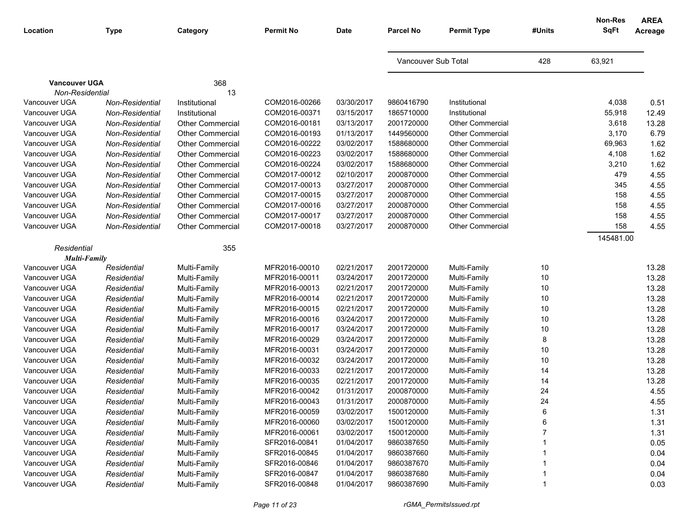| Location                         | <b>Type</b>     | Category                | <b>Permit No</b> | <b>Date</b> | <b>Parcel No</b>    | <b>Permit Type</b>      | #Units | Non-Res<br><b>SqFt</b> | <b>AREA</b><br>Acreage |
|----------------------------------|-----------------|-------------------------|------------------|-------------|---------------------|-------------------------|--------|------------------------|------------------------|
|                                  |                 |                         |                  |             | Vancouver Sub Total |                         | 428    | 63,921                 |                        |
| <b>Vancouver UGA</b>             |                 | 368                     |                  |             |                     |                         |        |                        |                        |
| Non-Residential<br>Vancouver UGA | Non-Residential | 13<br>Institutional     | COM2016-00266    | 03/30/2017  | 9860416790          | Institutional           |        | 4,038                  | 0.51                   |
| Vancouver UGA                    | Non-Residential | Institutional           | COM2016-00371    | 03/15/2017  | 1865710000          | Institutional           |        | 55,918                 | 12.49                  |
| Vancouver UGA                    | Non-Residential | <b>Other Commercial</b> | COM2016-00181    | 03/13/2017  | 2001720000          | Other Commercial        |        | 3,618                  | 13.28                  |
| Vancouver UGA                    | Non-Residential | <b>Other Commercial</b> | COM2016-00193    | 01/13/2017  | 1449560000          | <b>Other Commercial</b> |        | 3,170                  | 6.79                   |
| Vancouver UGA                    | Non-Residential | <b>Other Commercial</b> | COM2016-00222    | 03/02/2017  | 1588680000          | <b>Other Commercial</b> |        | 69,963                 | 1.62                   |
| Vancouver UGA                    | Non-Residential | <b>Other Commercial</b> | COM2016-00223    | 03/02/2017  | 1588680000          | <b>Other Commercial</b> |        | 4,108                  | 1.62                   |
| Vancouver UGA                    | Non-Residential | <b>Other Commercial</b> | COM2016-00224    | 03/02/2017  | 1588680000          | <b>Other Commercial</b> |        | 3,210                  | 1.62                   |
| Vancouver UGA                    | Non-Residential | <b>Other Commercial</b> | COM2017-00012    | 02/10/2017  | 2000870000          | Other Commercial        |        | 479                    | 4.55                   |
| Vancouver UGA                    | Non-Residential | <b>Other Commercial</b> | COM2017-00013    | 03/27/2017  | 2000870000          | <b>Other Commercial</b> |        | 345                    | 4.55                   |
| Vancouver UGA                    | Non-Residential | <b>Other Commercial</b> | COM2017-00015    | 03/27/2017  | 2000870000          | <b>Other Commercial</b> |        | 158                    | 4.55                   |
| Vancouver UGA                    | Non-Residential | <b>Other Commercial</b> | COM2017-00016    | 03/27/2017  | 2000870000          | <b>Other Commercial</b> |        | 158                    | 4.55                   |
| Vancouver UGA                    | Non-Residential | <b>Other Commercial</b> | COM2017-00017    | 03/27/2017  | 2000870000          | <b>Other Commercial</b> |        | 158                    | 4.55                   |
| Vancouver UGA                    | Non-Residential | <b>Other Commercial</b> | COM2017-00018    | 03/27/2017  | 2000870000          | <b>Other Commercial</b> |        | 158                    | 4.55                   |
|                                  |                 |                         |                  |             |                     |                         |        | 145481.00              |                        |
| Residential                      |                 | 355                     |                  |             |                     |                         |        |                        |                        |
| <b>Multi-Family</b>              |                 |                         |                  |             |                     |                         |        |                        |                        |
| Vancouver UGA                    | Residential     | Multi-Family            | MFR2016-00010    | 02/21/2017  | 2001720000          | Multi-Family            | $10$   |                        | 13.28                  |
| Vancouver UGA                    | Residential     | Multi-Family            | MFR2016-00011    | 03/24/2017  | 2001720000          | Multi-Family            | $10$   |                        | 13.28                  |
| Vancouver UGA                    | Residential     | Multi-Family            | MFR2016-00013    | 02/21/2017  | 2001720000          | Multi-Family            | 10     |                        | 13.28                  |
| Vancouver UGA                    | Residential     | Multi-Family            | MFR2016-00014    | 02/21/2017  | 2001720000          | Multi-Family            | 10     |                        | 13.28                  |
| Vancouver UGA                    | Residential     | Multi-Family            | MFR2016-00015    | 02/21/2017  | 2001720000          | Multi-Family            | 10     |                        | 13.28                  |
| Vancouver UGA                    | Residential     | Multi-Family            | MFR2016-00016    | 03/24/2017  | 2001720000          | Multi-Family            | 10     |                        | 13.28                  |
| Vancouver UGA                    | Residential     | Multi-Family            | MFR2016-00017    | 03/24/2017  | 2001720000          | Multi-Family            | $10$   |                        | 13.28                  |
| Vancouver UGA                    | Residential     | Multi-Family            | MFR2016-00029    | 03/24/2017  | 2001720000          | Multi-Family            | 8      |                        | 13.28                  |
| Vancouver UGA                    | Residential     | Multi-Family            | MFR2016-00031    | 03/24/2017  | 2001720000          | Multi-Family            | 10     |                        | 13.28                  |
| Vancouver UGA                    | Residential     | Multi-Family            | MFR2016-00032    | 03/24/2017  | 2001720000          | Multi-Family            | 10     |                        | 13.28                  |
| Vancouver UGA                    | Residential     | Multi-Family            | MFR2016-00033    | 02/21/2017  | 2001720000          | Multi-Family            | 14     |                        | 13.28                  |
| Vancouver UGA                    | Residential     | Multi-Family            | MFR2016-00035    | 02/21/2017  | 2001720000          | Multi-Family            | 14     |                        | 13.28                  |
| Vancouver UGA                    | Residential     | Multi-Family            | MFR2016-00042    | 01/31/2017  | 2000870000          | Multi-Family            | 24     |                        | 4.55                   |
| Vancouver UGA                    | Residential     | Multi-Family            | MFR2016-00043    | 01/31/2017  | 2000870000          | Multi-Family            | 24     |                        | 4.55                   |
| Vancouver UGA                    | Residential     | Multi-Family            | MFR2016-00059    | 03/02/2017  | 1500120000          | Multi-Family            | 6      |                        | 1.31                   |
| Vancouver UGA                    | Residential     | Multi-Family            | MFR2016-00060    | 03/02/2017  | 1500120000          | Multi-Family            | 6      |                        | 1.31                   |
| Vancouver UGA                    | Residential     | Multi-Family            | MFR2016-00061    | 03/02/2017  | 1500120000          | Multi-Family            |        |                        | 1.31                   |
| Vancouver UGA                    | Residential     | Multi-Family            | SFR2016-00841    | 01/04/2017  | 9860387650          | Multi-Family            |        |                        | 0.05                   |
| Vancouver UGA                    | Residential     | Multi-Family            | SFR2016-00845    | 01/04/2017  | 9860387660          | Multi-Family            |        |                        | 0.04                   |
| Vancouver UGA                    | Residential     | Multi-Family            | SFR2016-00846    | 01/04/2017  | 9860387670          | Multi-Family            |        |                        | 0.04                   |
| Vancouver UGA                    | Residential     | Multi-Family            | SFR2016-00847    | 01/04/2017  | 9860387680          | Multi-Family            |        |                        | 0.04                   |
| Vancouver UGA                    | Residential     | Multi-Family            | SFR2016-00848    | 01/04/2017  | 9860387690          | Multi-Family            |        |                        | 0.03                   |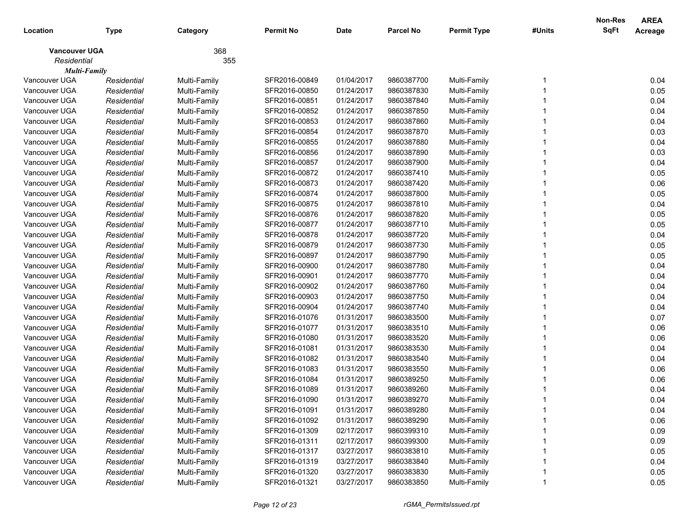|                      |             |              |                  |             |                  |                    |        | <b>Non-Res</b> | <b>AREA</b> |
|----------------------|-------------|--------------|------------------|-------------|------------------|--------------------|--------|----------------|-------------|
| Location             | <b>Type</b> | Category     | <b>Permit No</b> | <b>Date</b> | <b>Parcel No</b> | <b>Permit Type</b> | #Units | <b>SqFt</b>    | Acreage     |
| <b>Vancouver UGA</b> |             | 368          |                  |             |                  |                    |        |                |             |
| Residential          |             | 355          |                  |             |                  |                    |        |                |             |
| <b>Multi-Family</b>  |             |              |                  |             |                  |                    |        |                |             |
| Vancouver UGA        | Residential | Multi-Family | SFR2016-00849    | 01/04/2017  | 9860387700       | Multi-Family       |        |                | 0.04        |
| Vancouver UGA        | Residential | Multi-Family | SFR2016-00850    | 01/24/2017  | 9860387830       | Multi-Family       |        |                | 0.05        |
| Vancouver UGA        | Residential | Multi-Family | SFR2016-00851    | 01/24/2017  | 9860387840       | Multi-Family       |        |                | 0.04        |
| Vancouver UGA        | Residential | Multi-Family | SFR2016-00852    | 01/24/2017  | 9860387850       | Multi-Family       |        |                | 0.04        |
| Vancouver UGA        | Residential | Multi-Family | SFR2016-00853    | 01/24/2017  | 9860387860       | Multi-Family       |        |                | 0.04        |
| Vancouver UGA        | Residential | Multi-Family | SFR2016-00854    | 01/24/2017  | 9860387870       | Multi-Family       |        |                | 0.03        |
| Vancouver UGA        | Residential | Multi-Family | SFR2016-00855    | 01/24/2017  | 9860387880       | Multi-Family       |        |                | 0.04        |
| Vancouver UGA        | Residential | Multi-Family | SFR2016-00856    | 01/24/2017  | 9860387890       | Multi-Family       |        |                | 0.03        |
| Vancouver UGA        | Residential | Multi-Family | SFR2016-00857    | 01/24/2017  | 9860387900       | Multi-Family       |        |                | 0.04        |
| Vancouver UGA        | Residential | Multi-Family | SFR2016-00872    | 01/24/2017  | 9860387410       | Multi-Family       |        |                | 0.05        |
| Vancouver UGA        | Residential | Multi-Family | SFR2016-00873    | 01/24/2017  | 9860387420       | Multi-Family       |        |                | 0.06        |
| Vancouver UGA        | Residential | Multi-Family | SFR2016-00874    | 01/24/2017  | 9860387800       | Multi-Family       |        |                | 0.05        |
| Vancouver UGA        | Residential | Multi-Family | SFR2016-00875    | 01/24/2017  | 9860387810       | Multi-Family       |        |                | 0.04        |
| Vancouver UGA        | Residential | Multi-Family | SFR2016-00876    | 01/24/2017  | 9860387820       | Multi-Family       |        |                | 0.05        |
| Vancouver UGA        | Residential | Multi-Family | SFR2016-00877    | 01/24/2017  | 9860387710       | Multi-Family       |        |                | 0.05        |
| Vancouver UGA        | Residential | Multi-Family | SFR2016-00878    | 01/24/2017  | 9860387720       | Multi-Family       |        |                | 0.04        |
| Vancouver UGA        | Residential | Multi-Family | SFR2016-00879    | 01/24/2017  | 9860387730       | Multi-Family       |        |                | 0.05        |
| Vancouver UGA        | Residential | Multi-Family | SFR2016-00897    | 01/24/2017  | 9860387790       | Multi-Family       |        |                | 0.05        |
| Vancouver UGA        | Residential | Multi-Family | SFR2016-00900    | 01/24/2017  | 9860387780       | Multi-Family       |        |                | 0.04        |
| Vancouver UGA        | Residential | Multi-Family | SFR2016-00901    | 01/24/2017  | 9860387770       | Multi-Family       |        |                | 0.04        |
| Vancouver UGA        | Residential | Multi-Family | SFR2016-00902    | 01/24/2017  | 9860387760       | Multi-Family       |        |                | 0.04        |
| Vancouver UGA        | Residential | Multi-Family | SFR2016-00903    | 01/24/2017  | 9860387750       | Multi-Family       |        |                | 0.04        |
| Vancouver UGA        | Residential | Multi-Family | SFR2016-00904    | 01/24/2017  | 9860387740       | Multi-Family       |        |                | 0.04        |
| Vancouver UGA        | Residential | Multi-Family | SFR2016-01076    | 01/31/2017  | 9860383500       | Multi-Family       |        |                | 0.07        |
| Vancouver UGA        | Residential | Multi-Family | SFR2016-01077    | 01/31/2017  | 9860383510       | Multi-Family       |        |                | 0.06        |
| Vancouver UGA        | Residential | Multi-Family | SFR2016-01080    | 01/31/2017  | 9860383520       | Multi-Family       |        |                | 0.06        |
| Vancouver UGA        | Residential | Multi-Family | SFR2016-01081    | 01/31/2017  | 9860383530       | Multi-Family       |        |                | 0.04        |
| Vancouver UGA        | Residential | Multi-Family | SFR2016-01082    | 01/31/2017  | 9860383540       | Multi-Family       |        |                | 0.04        |
| Vancouver UGA        | Residential | Multi-Family | SFR2016-01083    | 01/31/2017  | 9860383550       | Multi-Family       |        |                | 0.06        |
| Vancouver UGA        | Residential | Multi-Family | SFR2016-01084    | 01/31/2017  | 9860389250       | Multi-Family       |        |                | 0.06        |
| Vancouver UGA        | Residential | Multi-Family | SFR2016-01089    | 01/31/2017  | 9860389260       | Multi-Family       |        |                | 0.04        |
| Vancouver UGA        | Residential | Multi-Family | SFR2016-01090    | 01/31/2017  | 9860389270       | Multi-Family       |        |                | 0.04        |
| Vancouver UGA        | Residential | Multi-Family | SFR2016-01091    | 01/31/2017  | 9860389280       | Multi-Family       |        |                | 0.04        |
| Vancouver UGA        | Residential | Multi-Family | SFR2016-01092    | 01/31/2017  | 9860389290       | Multi-Family       |        |                | 0.06        |
| Vancouver UGA        | Residential | Multi-Family | SFR2016-01309    | 02/17/2017  | 9860399310       | Multi-Family       |        |                | 0.09        |
| Vancouver UGA        | Residential | Multi-Family | SFR2016-01311    | 02/17/2017  | 9860399300       | Multi-Family       |        |                | 0.09        |
| Vancouver UGA        | Residential | Multi-Family | SFR2016-01317    | 03/27/2017  | 9860383810       | Multi-Family       |        |                | 0.05        |
| Vancouver UGA        | Residential | Multi-Family | SFR2016-01319    | 03/27/2017  | 9860383840       | Multi-Family       |        |                | 0.04        |
| Vancouver UGA        | Residential | Multi-Family | SFR2016-01320    | 03/27/2017  | 9860383830       | Multi-Family       |        |                | 0.05        |
| Vancouver UGA        | Residential | Multi-Family | SFR2016-01321    | 03/27/2017  | 9860383850       | Multi-Family       |        |                | 0.05        |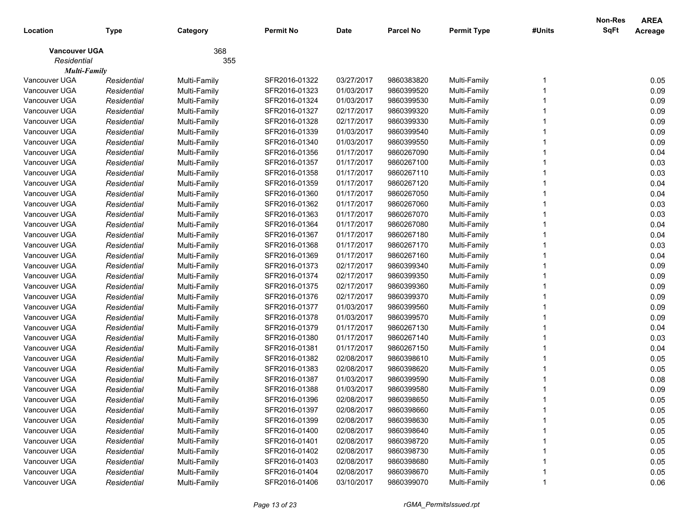|                      |             |              |                  |             |                  |                    |        | <b>Non-Res</b> | <b>AREA</b> |
|----------------------|-------------|--------------|------------------|-------------|------------------|--------------------|--------|----------------|-------------|
| Location             | <b>Type</b> | Category     | <b>Permit No</b> | <b>Date</b> | <b>Parcel No</b> | <b>Permit Type</b> | #Units | <b>SqFt</b>    | Acreage     |
| <b>Vancouver UGA</b> |             | 368          |                  |             |                  |                    |        |                |             |
| Residential          |             | 355          |                  |             |                  |                    |        |                |             |
| <b>Multi-Family</b>  |             |              |                  |             |                  |                    |        |                |             |
| Vancouver UGA        | Residential | Multi-Family | SFR2016-01322    | 03/27/2017  | 9860383820       | Multi-Family       |        |                | 0.05        |
| Vancouver UGA        | Residential | Multi-Family | SFR2016-01323    | 01/03/2017  | 9860399520       | Multi-Family       |        |                | 0.09        |
| Vancouver UGA        | Residential | Multi-Family | SFR2016-01324    | 01/03/2017  | 9860399530       | Multi-Family       |        |                | 0.09        |
| Vancouver UGA        | Residential | Multi-Family | SFR2016-01327    | 02/17/2017  | 9860399320       | Multi-Family       |        |                | 0.09        |
| Vancouver UGA        | Residential | Multi-Family | SFR2016-01328    | 02/17/2017  | 9860399330       | Multi-Family       |        |                | 0.09        |
| Vancouver UGA        | Residential | Multi-Family | SFR2016-01339    | 01/03/2017  | 9860399540       | Multi-Family       |        |                | 0.09        |
| Vancouver UGA        | Residential | Multi-Family | SFR2016-01340    | 01/03/2017  | 9860399550       | Multi-Family       |        |                | 0.09        |
| Vancouver UGA        | Residential | Multi-Family | SFR2016-01356    | 01/17/2017  | 9860267090       | Multi-Family       |        |                | 0.04        |
| Vancouver UGA        | Residential | Multi-Family | SFR2016-01357    | 01/17/2017  | 9860267100       | Multi-Family       |        |                | 0.03        |
| Vancouver UGA        | Residential | Multi-Family | SFR2016-01358    | 01/17/2017  | 9860267110       | Multi-Family       |        |                | 0.03        |
| Vancouver UGA        | Residential | Multi-Family | SFR2016-01359    | 01/17/2017  | 9860267120       | Multi-Family       |        |                | 0.04        |
| Vancouver UGA        | Residential | Multi-Family | SFR2016-01360    | 01/17/2017  | 9860267050       | Multi-Family       |        |                | 0.04        |
| Vancouver UGA        | Residential | Multi-Family | SFR2016-01362    | 01/17/2017  | 9860267060       | Multi-Family       |        |                | 0.03        |
| Vancouver UGA        | Residential | Multi-Family | SFR2016-01363    | 01/17/2017  | 9860267070       | Multi-Family       |        |                | 0.03        |
| Vancouver UGA        | Residential | Multi-Family | SFR2016-01364    | 01/17/2017  | 9860267080       | Multi-Family       |        |                | 0.04        |
| Vancouver UGA        | Residential | Multi-Family | SFR2016-01367    | 01/17/2017  | 9860267180       | Multi-Family       |        |                | 0.04        |
| Vancouver UGA        | Residential | Multi-Family | SFR2016-01368    | 01/17/2017  | 9860267170       | Multi-Family       |        |                | 0.03        |
| Vancouver UGA        | Residential | Multi-Family | SFR2016-01369    | 01/17/2017  | 9860267160       | Multi-Family       |        |                | 0.04        |
| Vancouver UGA        | Residential | Multi-Family | SFR2016-01373    | 02/17/2017  | 9860399340       | Multi-Family       |        |                | 0.09        |
| Vancouver UGA        | Residential | Multi-Family | SFR2016-01374    | 02/17/2017  | 9860399350       | Multi-Family       |        |                | 0.09        |
| Vancouver UGA        | Residential | Multi-Family | SFR2016-01375    | 02/17/2017  | 9860399360       | Multi-Family       |        |                | 0.09        |
| Vancouver UGA        | Residential | Multi-Family | SFR2016-01376    | 02/17/2017  | 9860399370       | Multi-Family       |        |                | 0.09        |
| Vancouver UGA        | Residential | Multi-Family | SFR2016-01377    | 01/03/2017  | 9860399560       | Multi-Family       |        |                | 0.09        |
| Vancouver UGA        | Residential | Multi-Family | SFR2016-01378    | 01/03/2017  | 9860399570       | Multi-Family       |        |                | 0.09        |
| Vancouver UGA        | Residential | Multi-Family | SFR2016-01379    | 01/17/2017  | 9860267130       | Multi-Family       |        |                | 0.04        |
| Vancouver UGA        | Residential | Multi-Family | SFR2016-01380    | 01/17/2017  | 9860267140       | Multi-Family       |        |                | 0.03        |
| Vancouver UGA        | Residential | Multi-Family | SFR2016-01381    | 01/17/2017  | 9860267150       | Multi-Family       |        |                | 0.04        |
| Vancouver UGA        | Residential | Multi-Family | SFR2016-01382    | 02/08/2017  | 9860398610       | Multi-Family       |        |                | 0.05        |
| Vancouver UGA        | Residential | Multi-Family | SFR2016-01383    | 02/08/2017  | 9860398620       | Multi-Family       |        |                | 0.05        |
| Vancouver UGA        | Residential | Multi-Family | SFR2016-01387    | 01/03/2017  | 9860399590       | Multi-Family       |        |                | 0.08        |
| Vancouver UGA        | Residential | Multi-Family | SFR2016-01388    | 01/03/2017  | 9860399580       | Multi-Family       |        |                | 0.09        |
| Vancouver UGA        | Residential | Multi-Family | SFR2016-01396    | 02/08/2017  | 9860398650       | Multi-Family       |        |                | 0.05        |
| Vancouver UGA        | Residential | Multi-Family | SFR2016-01397    | 02/08/2017  | 9860398660       | Multi-Family       |        |                | 0.05        |
| Vancouver UGA        | Residential | Multi-Family | SFR2016-01399    | 02/08/2017  | 9860398630       | Multi-Family       |        |                | 0.05        |
| Vancouver UGA        | Residential | Multi-Family | SFR2016-01400    | 02/08/2017  | 9860398640       | Multi-Family       |        |                | 0.05        |
| Vancouver UGA        | Residential | Multi-Family | SFR2016-01401    | 02/08/2017  | 9860398720       | Multi-Family       |        |                | 0.05        |
| Vancouver UGA        | Residential | Multi-Family | SFR2016-01402    | 02/08/2017  | 9860398730       | Multi-Family       |        |                | 0.05        |
| Vancouver UGA        | Residential | Multi-Family | SFR2016-01403    | 02/08/2017  | 9860398680       | Multi-Family       |        |                | 0.05        |
| Vancouver UGA        | Residential | Multi-Family | SFR2016-01404    | 02/08/2017  | 9860398670       | Multi-Family       |        |                | 0.05        |
| Vancouver UGA        | Residential | Multi-Family | SFR2016-01406    | 03/10/2017  | 9860399070       | Multi-Family       |        |                | 0.06        |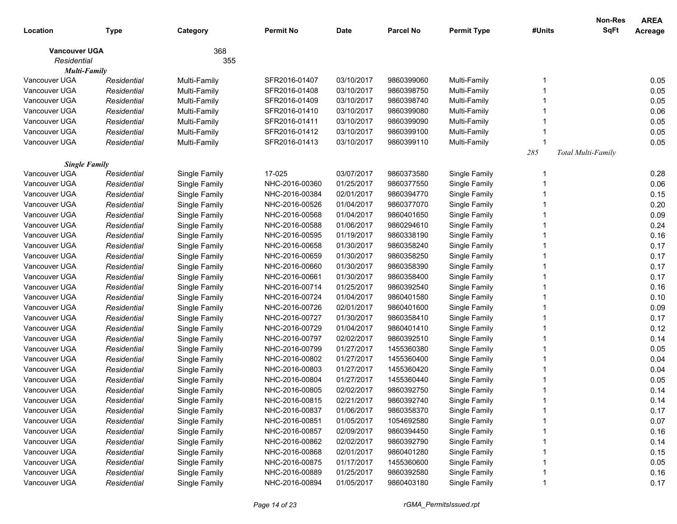|                      |             |               |                  |             |                  |                    |        | <b>Non-Res</b>     | <b>AREA</b> |
|----------------------|-------------|---------------|------------------|-------------|------------------|--------------------|--------|--------------------|-------------|
| Location             | <b>Type</b> | Category      | <b>Permit No</b> | <b>Date</b> | <b>Parcel No</b> | <b>Permit Type</b> | #Units | <b>SqFt</b>        | Acreage     |
| <b>Vancouver UGA</b> |             | 368           |                  |             |                  |                    |        |                    |             |
| Residential          |             | 355           |                  |             |                  |                    |        |                    |             |
| <b>Multi-Family</b>  |             |               |                  |             |                  |                    |        |                    |             |
| Vancouver UGA        | Residential | Multi-Family  | SFR2016-01407    | 03/10/2017  | 9860399060       | Multi-Family       |        |                    | 0.05        |
| Vancouver UGA        | Residential | Multi-Family  | SFR2016-01408    | 03/10/2017  | 9860398750       | Multi-Family       |        |                    | 0.05        |
| Vancouver UGA        | Residential | Multi-Family  | SFR2016-01409    | 03/10/2017  | 9860398740       | Multi-Family       |        |                    | 0.05        |
| Vancouver UGA        | Residential | Multi-Family  | SFR2016-01410    | 03/10/2017  | 9860399080       | Multi-Family       |        |                    | 0.06        |
| Vancouver UGA        | Residential | Multi-Family  | SFR2016-01411    | 03/10/2017  | 9860399090       | Multi-Family       |        |                    | 0.05        |
| Vancouver UGA        | Residential | Multi-Family  | SFR2016-01412    | 03/10/2017  | 9860399100       | Multi-Family       |        |                    | 0.05        |
| Vancouver UGA        | Residential | Multi-Family  | SFR2016-01413    | 03/10/2017  | 9860399110       | Multi-Family       |        |                    | 0.05        |
|                      |             |               |                  |             |                  |                    | 285    | Total Multi-Family |             |
| <b>Single Family</b> |             |               |                  |             |                  |                    |        |                    |             |
| Vancouver UGA        | Residential | Single Family | 17-025           | 03/07/2017  | 9860373580       | Single Family      |        |                    | 0.28        |
| Vancouver UGA        | Residential | Single Family | NHC-2016-00360   | 01/25/2017  | 9860377550       | Single Family      |        |                    | 0.06        |
| Vancouver UGA        | Residential | Single Family | NHC-2016-00384   | 02/01/2017  | 9860394770       | Single Family      |        |                    | 0.15        |
| Vancouver UGA        | Residential | Single Family | NHC-2016-00526   | 01/04/2017  | 9860377070       | Single Family      |        |                    | 0.20        |
| Vancouver UGA        | Residential | Single Family | NHC-2016-00568   | 01/04/2017  | 9860401650       | Single Family      |        |                    | 0.09        |
| Vancouver UGA        | Residential | Single Family | NHC-2016-00588   | 01/06/2017  | 9860294610       | Single Family      |        |                    | 0.24        |
| Vancouver UGA        | Residential | Single Family | NHC-2016-00595   | 01/19/2017  | 9860338190       | Single Family      |        |                    | 0.16        |
| Vancouver UGA        | Residential | Single Family | NHC-2016-00658   | 01/30/2017  | 9860358240       | Single Family      |        |                    | 0.17        |
| Vancouver UGA        | Residential | Single Family | NHC-2016-00659   | 01/30/2017  | 9860358250       | Single Family      |        |                    | 0.17        |
| Vancouver UGA        | Residential | Single Family | NHC-2016-00660   | 01/30/2017  | 9860358390       | Single Family      |        |                    | 0.17        |
| Vancouver UGA        | Residential | Single Family | NHC-2016-00661   | 01/30/2017  | 9860358400       | Single Family      |        |                    | 0.17        |
| Vancouver UGA        | Residential | Single Family | NHC-2016-00714   | 01/25/2017  | 9860392540       | Single Family      |        |                    | 0.16        |
| Vancouver UGA        | Residential | Single Family | NHC-2016-00724   | 01/04/2017  | 9860401580       | Single Family      |        |                    | 0.10        |
| Vancouver UGA        | Residential | Single Family | NHC-2016-00726   | 02/01/2017  | 9860401600       | Single Family      |        |                    | 0.09        |
| Vancouver UGA        | Residential | Single Family | NHC-2016-00727   | 01/30/2017  | 9860358410       | Single Family      |        |                    | 0.17        |
| Vancouver UGA        | Residential | Single Family | NHC-2016-00729   | 01/04/2017  | 9860401410       | Single Family      |        |                    | 0.12        |
| Vancouver UGA        | Residential | Single Family | NHC-2016-00797   | 02/02/2017  | 9860392510       | Single Family      |        |                    | 0.14        |
| Vancouver UGA        | Residential | Single Family | NHC-2016-00799   | 01/27/2017  | 1455360380       | Single Family      |        |                    | 0.05        |
| Vancouver UGA        | Residential | Single Family | NHC-2016-00802   | 01/27/2017  | 1455360400       | Single Family      |        |                    | 0.04        |
| Vancouver UGA        | Residential | Single Family | NHC-2016-00803   | 01/27/2017  | 1455360420       | Single Family      |        |                    | 0.04        |
| Vancouver UGA        | Residential | Single Family | NHC-2016-00804   | 01/27/2017  | 1455360440       | Single Family      |        |                    | 0.05        |
| Vancouver UGA        | Residential | Single Family | NHC-2016-00805   | 02/02/2017  | 9860392750       | Single Family      |        |                    | 0.14        |
| Vancouver UGA        | Residential | Single Family | NHC-2016-00815   | 02/21/2017  | 9860392740       | Single Family      |        |                    | 0.14        |
| Vancouver UGA        | Residential | Single Family | NHC-2016-00837   | 01/06/2017  | 9860358370       | Single Family      |        |                    | 0.17        |
| Vancouver UGA        | Residential | Single Family | NHC-2016-00851   | 01/05/2017  | 1054692580       | Single Family      |        |                    | 0.07        |
| Vancouver UGA        | Residential | Single Family | NHC-2016-00857   | 02/09/2017  | 9860394450       | Single Family      |        |                    | 0.16        |
| Vancouver UGA        | Residential | Single Family | NHC-2016-00862   | 02/02/2017  | 9860392790       | Single Family      |        |                    | 0.14        |
| Vancouver UGA        | Residential | Single Family | NHC-2016-00868   | 02/01/2017  | 9860401280       | Single Family      |        |                    | 0.15        |
| Vancouver UGA        | Residential | Single Family | NHC-2016-00875   | 01/17/2017  | 1455360600       | Single Family      |        |                    | 0.05        |
| Vancouver UGA        | Residential | Single Family | NHC-2016-00889   | 01/25/2017  | 9860392580       | Single Family      |        |                    | 0.16        |
| Vancouver UGA        | Residential | Single Family | NHC-2016-00894   | 01/05/2017  | 9860403180       | Single Family      |        |                    | 0.17        |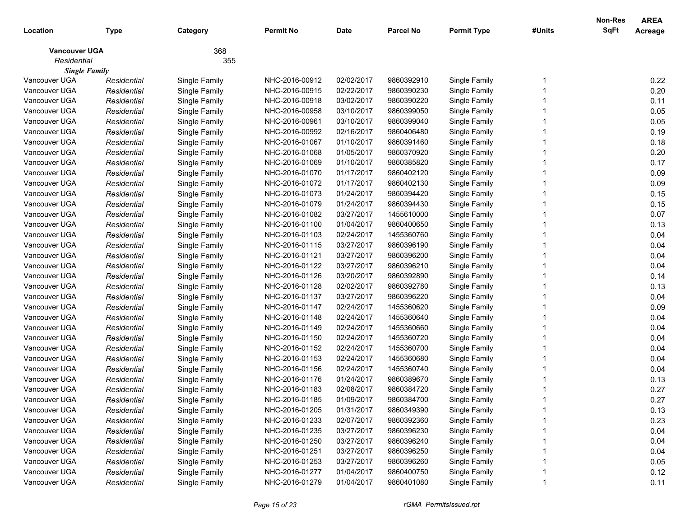|                      |             |               |                |             |                  |                    |        | Non-Res     | <b>AREA</b> |
|----------------------|-------------|---------------|----------------|-------------|------------------|--------------------|--------|-------------|-------------|
| Location             | Type        | Category      | Permit No      | <b>Date</b> | <b>Parcel No</b> | <b>Permit Type</b> | #Units | <b>SqFt</b> | Acreage     |
| <b>Vancouver UGA</b> |             | 368           |                |             |                  |                    |        |             |             |
| Residential          |             | 355           |                |             |                  |                    |        |             |             |
| <b>Single Family</b> |             |               |                |             |                  |                    |        |             |             |
| Vancouver UGA        | Residential | Single Family | NHC-2016-00912 | 02/02/2017  | 9860392910       | Single Family      |        |             | 0.22        |
| Vancouver UGA        | Residential | Single Family | NHC-2016-00915 | 02/22/2017  | 9860390230       | Single Family      |        |             | 0.20        |
| Vancouver UGA        | Residential | Single Family | NHC-2016-00918 | 03/02/2017  | 9860390220       | Single Family      |        |             | 0.11        |
| Vancouver UGA        | Residential | Single Family | NHC-2016-00958 | 03/10/2017  | 9860399050       | Single Family      |        |             | 0.05        |
| Vancouver UGA        | Residential | Single Family | NHC-2016-00961 | 03/10/2017  | 9860399040       | Single Family      |        |             | 0.05        |
| Vancouver UGA        | Residential | Single Family | NHC-2016-00992 | 02/16/2017  | 9860406480       | Single Family      |        |             | 0.19        |
| Vancouver UGA        | Residential | Single Family | NHC-2016-01067 | 01/10/2017  | 9860391460       | Single Family      |        |             | 0.18        |
| Vancouver UGA        | Residential | Single Family | NHC-2016-01068 | 01/05/2017  | 9860370920       | Single Family      |        |             | 0.20        |
| Vancouver UGA        | Residential | Single Family | NHC-2016-01069 | 01/10/2017  | 9860385820       | Single Family      |        |             | 0.17        |
| Vancouver UGA        | Residential | Single Family | NHC-2016-01070 | 01/17/2017  | 9860402120       | Single Family      |        |             | 0.09        |
| Vancouver UGA        | Residential | Single Family | NHC-2016-01072 | 01/17/2017  | 9860402130       | Single Family      |        |             | 0.09        |
| Vancouver UGA        | Residential | Single Family | NHC-2016-01073 | 01/24/2017  | 9860394420       | Single Family      |        |             | 0.15        |
| Vancouver UGA        | Residential | Single Family | NHC-2016-01079 | 01/24/2017  | 9860394430       | Single Family      |        |             | 0.15        |
| Vancouver UGA        | Residential | Single Family | NHC-2016-01082 | 03/27/2017  | 1455610000       | Single Family      |        |             | 0.07        |
| Vancouver UGA        | Residential | Single Family | NHC-2016-01100 | 01/04/2017  | 9860400650       | Single Family      |        |             | 0.13        |
| Vancouver UGA        | Residential | Single Family | NHC-2016-01103 | 02/24/2017  | 1455360760       | Single Family      |        |             | 0.04        |
| Vancouver UGA        | Residential | Single Family | NHC-2016-01115 | 03/27/2017  | 9860396190       | Single Family      |        |             | 0.04        |
| Vancouver UGA        | Residential | Single Family | NHC-2016-01121 | 03/27/2017  | 9860396200       | Single Family      |        |             | 0.04        |
| Vancouver UGA        | Residential | Single Family | NHC-2016-01122 | 03/27/2017  | 9860396210       | Single Family      |        |             | 0.04        |
| Vancouver UGA        | Residential | Single Family | NHC-2016-01126 | 03/20/2017  | 9860392890       | Single Family      |        |             | 0.14        |
| Vancouver UGA        | Residential | Single Family | NHC-2016-01128 | 02/02/2017  | 9860392780       | Single Family      |        |             | 0.13        |
| Vancouver UGA        | Residential | Single Family | NHC-2016-01137 | 03/27/2017  | 9860396220       | Single Family      |        |             | 0.04        |
| Vancouver UGA        | Residential | Single Family | NHC-2016-01147 | 02/24/2017  | 1455360620       | Single Family      |        |             | 0.09        |
| Vancouver UGA        | Residential | Single Family | NHC-2016-01148 | 02/24/2017  | 1455360640       | Single Family      |        |             | 0.04        |
| Vancouver UGA        | Residential | Single Family | NHC-2016-01149 | 02/24/2017  | 1455360660       | Single Family      |        |             | 0.04        |
| Vancouver UGA        | Residential | Single Family | NHC-2016-01150 | 02/24/2017  | 1455360720       | Single Family      |        |             | 0.04        |
| Vancouver UGA        | Residential | Single Family | NHC-2016-01152 | 02/24/2017  | 1455360700       | Single Family      |        |             | 0.04        |
| Vancouver UGA        | Residential | Single Family | NHC-2016-01153 | 02/24/2017  | 1455360680       | Single Family      |        |             | 0.04        |
| Vancouver UGA        | Residential | Single Family | NHC-2016-01156 | 02/24/2017  | 1455360740       | Single Family      |        |             | 0.04        |
| Vancouver UGA        | Residential | Single Family | NHC-2016-01176 | 01/24/2017  | 9860389670       | Single Family      |        |             | 0.13        |
| Vancouver UGA        | Residential | Single Family | NHC-2016-01183 | 02/08/2017  | 9860384720       | Single Family      |        |             | 0.27        |
| Vancouver UGA        | Residential | Single Family | NHC-2016-01185 | 01/09/2017  | 9860384700       | Single Family      |        |             | 0.27        |
| Vancouver UGA        | Residential | Single Family | NHC-2016-01205 | 01/31/2017  | 9860349390       | Single Family      |        |             | 0.13        |
| Vancouver UGA        | Residential | Single Family | NHC-2016-01233 | 02/07/2017  | 9860392360       | Single Family      |        |             | 0.23        |
| Vancouver UGA        | Residential | Single Family | NHC-2016-01235 | 03/27/2017  | 9860396230       | Single Family      |        |             | 0.04        |
| Vancouver UGA        | Residential | Single Family | NHC-2016-01250 | 03/27/2017  | 9860396240       | Single Family      |        |             | 0.04        |
| Vancouver UGA        | Residential | Single Family | NHC-2016-01251 | 03/27/2017  | 9860396250       | Single Family      |        |             | 0.04        |
| Vancouver UGA        | Residential | Single Family | NHC-2016-01253 | 03/27/2017  | 9860396260       | Single Family      |        |             | 0.05        |
| Vancouver UGA        | Residential | Single Family | NHC-2016-01277 | 01/04/2017  | 9860400750       | Single Family      |        |             | 0.12        |
| Vancouver UGA        | Residential | Single Family | NHC-2016-01279 | 01/04/2017  | 9860401080       | Single Family      |        |             | 0.11        |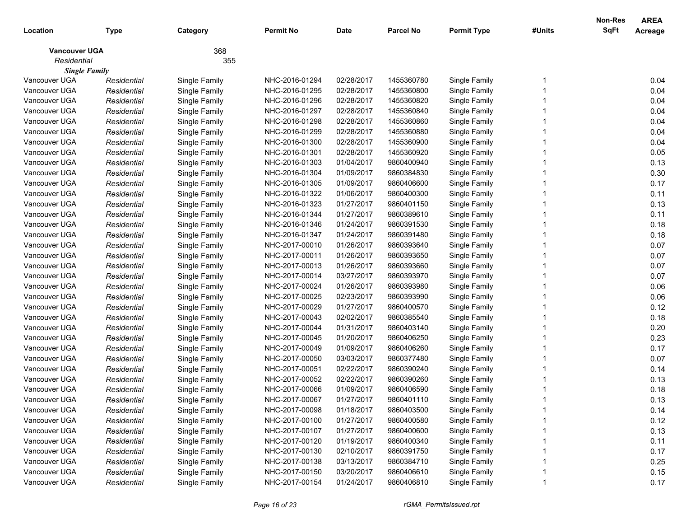|                      |             |               |                  |             |                  |                    |        | <b>Non-Res</b> | <b>AREA</b> |
|----------------------|-------------|---------------|------------------|-------------|------------------|--------------------|--------|----------------|-------------|
| Location             | Type        | Category      | <b>Permit No</b> | <b>Date</b> | <b>Parcel No</b> | <b>Permit Type</b> | #Units | <b>SqFt</b>    | Acreage     |
| <b>Vancouver UGA</b> |             | 368           |                  |             |                  |                    |        |                |             |
| Residential          |             | 355           |                  |             |                  |                    |        |                |             |
| <b>Single Family</b> |             |               |                  |             |                  |                    |        |                |             |
| Vancouver UGA        | Residential | Single Family | NHC-2016-01294   | 02/28/2017  | 1455360780       | Single Family      |        |                | 0.04        |
| Vancouver UGA        | Residential | Single Family | NHC-2016-01295   | 02/28/2017  | 1455360800       | Single Family      |        |                | 0.04        |
| Vancouver UGA        | Residential | Single Family | NHC-2016-01296   | 02/28/2017  | 1455360820       | Single Family      |        |                | 0.04        |
| Vancouver UGA        | Residential | Single Family | NHC-2016-01297   | 02/28/2017  | 1455360840       | Single Family      |        |                | 0.04        |
| Vancouver UGA        | Residential | Single Family | NHC-2016-01298   | 02/28/2017  | 1455360860       | Single Family      |        |                | 0.04        |
| Vancouver UGA        | Residential | Single Family | NHC-2016-01299   | 02/28/2017  | 1455360880       | Single Family      |        |                | 0.04        |
| Vancouver UGA        | Residential | Single Family | NHC-2016-01300   | 02/28/2017  | 1455360900       | Single Family      |        |                | 0.04        |
| Vancouver UGA        | Residential | Single Family | NHC-2016-01301   | 02/28/2017  | 1455360920       | Single Family      |        |                | 0.05        |
| Vancouver UGA        | Residential | Single Family | NHC-2016-01303   | 01/04/2017  | 9860400940       | Single Family      |        |                | 0.13        |
| Vancouver UGA        | Residential | Single Family | NHC-2016-01304   | 01/09/2017  | 9860384830       | Single Family      |        |                | 0.30        |
| Vancouver UGA        | Residential | Single Family | NHC-2016-01305   | 01/09/2017  | 9860406600       | Single Family      |        |                | 0.17        |
| Vancouver UGA        | Residential | Single Family | NHC-2016-01322   | 01/06/2017  | 9860400300       | Single Family      |        |                | 0.11        |
| Vancouver UGA        | Residential | Single Family | NHC-2016-01323   | 01/27/2017  | 9860401150       | Single Family      |        |                | 0.13        |
| Vancouver UGA        | Residential | Single Family | NHC-2016-01344   | 01/27/2017  | 9860389610       | Single Family      |        |                | 0.11        |
| Vancouver UGA        | Residential | Single Family | NHC-2016-01346   | 01/24/2017  | 9860391530       | Single Family      |        |                | 0.18        |
| Vancouver UGA        | Residential | Single Family | NHC-2016-01347   | 01/24/2017  | 9860391480       | Single Family      |        |                | 0.18        |
| Vancouver UGA        | Residential | Single Family | NHC-2017-00010   | 01/26/2017  | 9860393640       | Single Family      |        |                | 0.07        |
| Vancouver UGA        | Residential | Single Family | NHC-2017-00011   | 01/26/2017  | 9860393650       | Single Family      |        |                | 0.07        |
| Vancouver UGA        | Residential | Single Family | NHC-2017-00013   | 01/26/2017  | 9860393660       | Single Family      |        |                | 0.07        |
| Vancouver UGA        | Residential | Single Family | NHC-2017-00014   | 03/27/2017  | 9860393970       | Single Family      |        |                | 0.07        |
| Vancouver UGA        | Residential | Single Family | NHC-2017-00024   | 01/26/2017  | 9860393980       | Single Family      |        |                | 0.06        |
| Vancouver UGA        | Residential | Single Family | NHC-2017-00025   | 02/23/2017  | 9860393990       | Single Family      |        |                | 0.06        |
| Vancouver UGA        | Residential | Single Family | NHC-2017-00029   | 01/27/2017  | 9860400570       | Single Family      |        |                | 0.12        |
| Vancouver UGA        | Residential | Single Family | NHC-2017-00043   | 02/02/2017  | 9860385540       | Single Family      |        |                | 0.18        |
| Vancouver UGA        | Residential | Single Family | NHC-2017-00044   | 01/31/2017  | 9860403140       | Single Family      |        |                | 0.20        |
| Vancouver UGA        | Residential | Single Family | NHC-2017-00045   | 01/20/2017  | 9860406250       | Single Family      |        |                | 0.23        |
| Vancouver UGA        | Residential | Single Family | NHC-2017-00049   | 01/09/2017  | 9860406260       | Single Family      |        |                | 0.17        |
| Vancouver UGA        | Residential | Single Family | NHC-2017-00050   | 03/03/2017  | 9860377480       | Single Family      |        |                | 0.07        |
| Vancouver UGA        | Residential | Single Family | NHC-2017-00051   | 02/22/2017  | 9860390240       | Single Family      |        |                | 0.14        |
| Vancouver UGA        | Residential | Single Family | NHC-2017-00052   | 02/22/2017  | 9860390260       | Single Family      |        |                | 0.13        |
| Vancouver UGA        | Residential | Single Family | NHC-2017-00066   | 01/09/2017  | 9860406590       | Single Family      |        |                | 0.18        |
| Vancouver UGA        | Residential | Single Family | NHC-2017-00067   | 01/27/2017  | 9860401110       | Single Family      |        |                | 0.13        |
| Vancouver UGA        | Residential | Single Family | NHC-2017-00098   | 01/18/2017  | 9860403500       | Single Family      |        |                | 0.14        |
| Vancouver UGA        | Residential | Single Family | NHC-2017-00100   | 01/27/2017  | 9860400580       | Single Family      |        |                | 0.12        |
| Vancouver UGA        | Residential | Single Family | NHC-2017-00107   | 01/27/2017  | 9860400600       | Single Family      |        |                | 0.13        |
| Vancouver UGA        | Residential | Single Family | NHC-2017-00120   | 01/19/2017  | 9860400340       | Single Family      |        |                | 0.11        |
| Vancouver UGA        | Residential | Single Family | NHC-2017-00130   | 02/10/2017  | 9860391750       | Single Family      |        |                | 0.17        |
| Vancouver UGA        | Residential | Single Family | NHC-2017-00138   | 03/13/2017  | 9860384710       | Single Family      |        |                | 0.25        |
| Vancouver UGA        | Residential | Single Family | NHC-2017-00150   | 03/20/2017  | 9860406610       | Single Family      |        |                | 0.15        |
| Vancouver UGA        | Residential | Single Family | NHC-2017-00154   | 01/24/2017  | 9860406810       | Single Family      |        |                | 0.17        |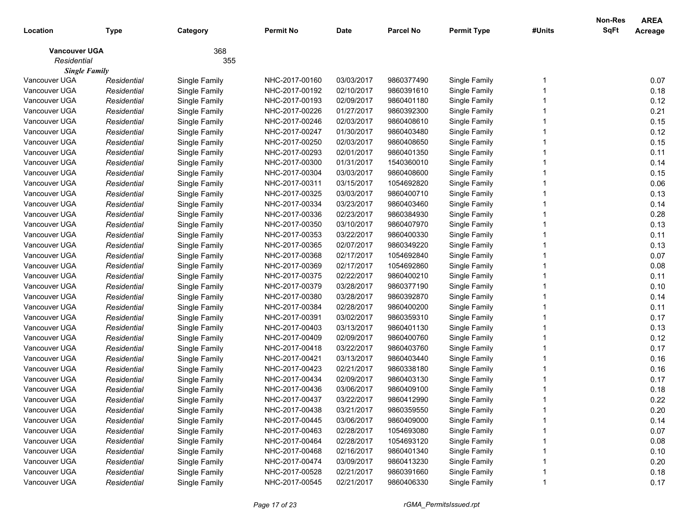|                      |             |               |                |             |                  |                    |        | Non-Res     | <b>AREA</b> |
|----------------------|-------------|---------------|----------------|-------------|------------------|--------------------|--------|-------------|-------------|
| Location             | <b>Type</b> | Category      | Permit No      | <b>Date</b> | <b>Parcel No</b> | <b>Permit Type</b> | #Units | <b>SqFt</b> | Acreage     |
| <b>Vancouver UGA</b> |             | 368           |                |             |                  |                    |        |             |             |
| Residential          |             | 355           |                |             |                  |                    |        |             |             |
| <b>Single Family</b> |             |               |                |             |                  |                    |        |             |             |
| Vancouver UGA        | Residential | Single Family | NHC-2017-00160 | 03/03/2017  | 9860377490       | Single Family      |        |             | 0.07        |
| Vancouver UGA        | Residential | Single Family | NHC-2017-00192 | 02/10/2017  | 9860391610       | Single Family      |        |             | 0.18        |
| Vancouver UGA        | Residential | Single Family | NHC-2017-00193 | 02/09/2017  | 9860401180       | Single Family      |        |             | 0.12        |
| Vancouver UGA        | Residential | Single Family | NHC-2017-00226 | 01/27/2017  | 9860392300       | Single Family      |        |             | 0.21        |
| Vancouver UGA        | Residential | Single Family | NHC-2017-00246 | 02/03/2017  | 9860408610       | Single Family      |        |             | 0.15        |
| Vancouver UGA        | Residential | Single Family | NHC-2017-00247 | 01/30/2017  | 9860403480       | Single Family      |        |             | 0.12        |
| Vancouver UGA        | Residential | Single Family | NHC-2017-00250 | 02/03/2017  | 9860408650       | Single Family      |        |             | 0.15        |
| Vancouver UGA        | Residential | Single Family | NHC-2017-00293 | 02/01/2017  | 9860401350       | Single Family      |        |             | 0.11        |
| Vancouver UGA        | Residential | Single Family | NHC-2017-00300 | 01/31/2017  | 1540360010       | Single Family      |        |             | 0.14        |
| Vancouver UGA        | Residential | Single Family | NHC-2017-00304 | 03/03/2017  | 9860408600       | Single Family      |        |             | 0.15        |
| Vancouver UGA        | Residential | Single Family | NHC-2017-00311 | 03/15/2017  | 1054692820       | Single Family      |        |             | 0.06        |
| Vancouver UGA        | Residential | Single Family | NHC-2017-00325 | 03/03/2017  | 9860400710       | Single Family      |        |             | 0.13        |
| Vancouver UGA        | Residential | Single Family | NHC-2017-00334 | 03/23/2017  | 9860403460       | Single Family      |        |             | 0.14        |
| Vancouver UGA        | Residential | Single Family | NHC-2017-00336 | 02/23/2017  | 9860384930       | Single Family      |        |             | 0.28        |
| Vancouver UGA        | Residential | Single Family | NHC-2017-00350 | 03/10/2017  | 9860407970       | Single Family      |        |             | 0.13        |
| Vancouver UGA        | Residential | Single Family | NHC-2017-00353 | 03/22/2017  | 9860400330       | Single Family      |        |             | 0.11        |
| Vancouver UGA        | Residential | Single Family | NHC-2017-00365 | 02/07/2017  | 9860349220       | Single Family      |        |             | 0.13        |
| Vancouver UGA        | Residential | Single Family | NHC-2017-00368 | 02/17/2017  | 1054692840       | Single Family      |        |             | 0.07        |
| Vancouver UGA        | Residential | Single Family | NHC-2017-00369 | 02/17/2017  | 1054692860       | Single Family      |        |             | 0.08        |
| Vancouver UGA        | Residential | Single Family | NHC-2017-00375 | 02/22/2017  | 9860400210       | Single Family      |        |             | 0.11        |
| Vancouver UGA        | Residential | Single Family | NHC-2017-00379 | 03/28/2017  | 9860377190       | Single Family      |        |             | 0.10        |
| Vancouver UGA        | Residential | Single Family | NHC-2017-00380 | 03/28/2017  | 9860392870       | Single Family      |        |             | 0.14        |
| Vancouver UGA        | Residential | Single Family | NHC-2017-00384 | 02/28/2017  | 9860400200       | Single Family      |        |             | 0.11        |
| Vancouver UGA        | Residential | Single Family | NHC-2017-00391 | 03/02/2017  | 9860359310       | Single Family      |        |             | 0.17        |
| Vancouver UGA        | Residential | Single Family | NHC-2017-00403 | 03/13/2017  | 9860401130       | Single Family      |        |             | 0.13        |
| Vancouver UGA        | Residential | Single Family | NHC-2017-00409 | 02/09/2017  | 9860400760       | Single Family      |        |             | 0.12        |
| Vancouver UGA        | Residential | Single Family | NHC-2017-00418 | 03/22/2017  | 9860403760       | Single Family      |        |             | 0.17        |
| Vancouver UGA        | Residential | Single Family | NHC-2017-00421 | 03/13/2017  | 9860403440       | Single Family      |        |             | 0.16        |
| Vancouver UGA        | Residential | Single Family | NHC-2017-00423 | 02/21/2017  | 9860338180       | Single Family      |        |             | 0.16        |
| Vancouver UGA        | Residential | Single Family | NHC-2017-00434 | 02/09/2017  | 9860403130       | Single Family      |        |             | 0.17        |
| Vancouver UGA        | Residential | Single Family | NHC-2017-00436 | 03/06/2017  | 9860409100       | Single Family      |        |             | 0.18        |
| Vancouver UGA        | Residential | Single Family | NHC-2017-00437 | 03/22/2017  | 9860412990       | Single Family      |        |             | 0.22        |
| Vancouver UGA        | Residential | Single Family | NHC-2017-00438 | 03/21/2017  | 9860359550       | Single Family      |        |             | 0.20        |
| Vancouver UGA        | Residential | Single Family | NHC-2017-00445 | 03/06/2017  | 9860409000       | Single Family      |        |             | 0.14        |
| Vancouver UGA        | Residential | Single Family | NHC-2017-00463 | 02/28/2017  | 1054693080       | Single Family      |        |             | 0.07        |
| Vancouver UGA        | Residential | Single Family | NHC-2017-00464 | 02/28/2017  | 1054693120       | Single Family      |        |             | 0.08        |
| Vancouver UGA        | Residential | Single Family | NHC-2017-00468 | 02/16/2017  | 9860401340       | Single Family      |        |             | 0.10        |
| Vancouver UGA        | Residential | Single Family | NHC-2017-00474 | 03/09/2017  | 9860413230       | Single Family      |        |             | 0.20        |
| Vancouver UGA        | Residential | Single Family | NHC-2017-00528 | 02/21/2017  | 9860391660       | Single Family      |        |             | 0.18        |
| Vancouver UGA        | Residential | Single Family | NHC-2017-00545 | 02/21/2017  | 9860406330       | Single Family      |        |             | 0.17        |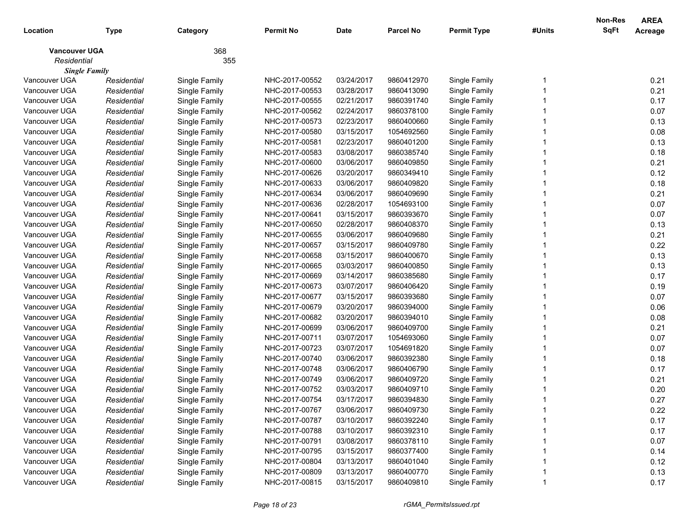|                      |             |               |                |             |                  |                    |        | Non-Res     | <b>AREA</b> |
|----------------------|-------------|---------------|----------------|-------------|------------------|--------------------|--------|-------------|-------------|
| Location             | <b>Type</b> | Category      | Permit No      | <b>Date</b> | <b>Parcel No</b> | <b>Permit Type</b> | #Units | <b>SqFt</b> | Acreage     |
| <b>Vancouver UGA</b> |             | 368           |                |             |                  |                    |        |             |             |
| Residential          |             | 355           |                |             |                  |                    |        |             |             |
| <b>Single Family</b> |             |               |                |             |                  |                    |        |             |             |
| Vancouver UGA        | Residential | Single Family | NHC-2017-00552 | 03/24/2017  | 9860412970       | Single Family      |        |             | 0.21        |
| Vancouver UGA        | Residential | Single Family | NHC-2017-00553 | 03/28/2017  | 9860413090       | Single Family      |        |             | 0.21        |
| Vancouver UGA        | Residential | Single Family | NHC-2017-00555 | 02/21/2017  | 9860391740       | Single Family      |        |             | 0.17        |
| Vancouver UGA        | Residential | Single Family | NHC-2017-00562 | 02/24/2017  | 9860378100       | Single Family      |        |             | 0.07        |
| Vancouver UGA        | Residential | Single Family | NHC-2017-00573 | 02/23/2017  | 9860400660       | Single Family      |        |             | 0.13        |
| Vancouver UGA        | Residential | Single Family | NHC-2017-00580 | 03/15/2017  | 1054692560       | Single Family      |        |             | 0.08        |
| Vancouver UGA        | Residential | Single Family | NHC-2017-00581 | 02/23/2017  | 9860401200       | Single Family      |        |             | 0.13        |
| Vancouver UGA        | Residential | Single Family | NHC-2017-00583 | 03/08/2017  | 9860385740       | Single Family      |        |             | 0.18        |
| Vancouver UGA        | Residential | Single Family | NHC-2017-00600 | 03/06/2017  | 9860409850       | Single Family      |        |             | 0.21        |
| Vancouver UGA        | Residential | Single Family | NHC-2017-00626 | 03/20/2017  | 9860349410       | Single Family      |        |             | 0.12        |
| Vancouver UGA        | Residential | Single Family | NHC-2017-00633 | 03/06/2017  | 9860409820       | Single Family      |        |             | 0.18        |
| Vancouver UGA        | Residential | Single Family | NHC-2017-00634 | 03/06/2017  | 9860409690       | Single Family      |        |             | 0.21        |
| Vancouver UGA        | Residential | Single Family | NHC-2017-00636 | 02/28/2017  | 1054693100       | Single Family      |        |             | 0.07        |
| Vancouver UGA        | Residential | Single Family | NHC-2017-00641 | 03/15/2017  | 9860393670       | Single Family      |        |             | 0.07        |
| Vancouver UGA        | Residential | Single Family | NHC-2017-00650 | 02/28/2017  | 9860408370       | Single Family      |        |             | 0.13        |
| Vancouver UGA        | Residential | Single Family | NHC-2017-00655 | 03/06/2017  | 9860409680       | Single Family      |        |             | 0.21        |
| Vancouver UGA        | Residential | Single Family | NHC-2017-00657 | 03/15/2017  | 9860409780       | Single Family      |        |             | 0.22        |
| Vancouver UGA        | Residential | Single Family | NHC-2017-00658 | 03/15/2017  | 9860400670       | Single Family      |        |             | 0.13        |
| Vancouver UGA        | Residential | Single Family | NHC-2017-00665 | 03/03/2017  | 9860400850       | Single Family      |        |             | 0.13        |
| Vancouver UGA        | Residential | Single Family | NHC-2017-00669 | 03/14/2017  | 9860385680       | Single Family      |        |             | 0.17        |
| Vancouver UGA        | Residential | Single Family | NHC-2017-00673 | 03/07/2017  | 9860406420       | Single Family      |        |             | 0.19        |
| Vancouver UGA        | Residential | Single Family | NHC-2017-00677 | 03/15/2017  | 9860393680       | Single Family      |        |             | 0.07        |
| Vancouver UGA        | Residential | Single Family | NHC-2017-00679 | 03/20/2017  | 9860394000       | Single Family      |        |             | 0.06        |
| Vancouver UGA        | Residential | Single Family | NHC-2017-00682 | 03/20/2017  | 9860394010       | Single Family      |        |             | 0.08        |
| Vancouver UGA        | Residential | Single Family | NHC-2017-00699 | 03/06/2017  | 9860409700       | Single Family      |        |             | 0.21        |
| Vancouver UGA        | Residential | Single Family | NHC-2017-00711 | 03/07/2017  | 1054693060       | Single Family      |        |             | 0.07        |
| Vancouver UGA        | Residential | Single Family | NHC-2017-00723 | 03/07/2017  | 1054691820       | Single Family      |        |             | 0.07        |
| Vancouver UGA        | Residential | Single Family | NHC-2017-00740 | 03/06/2017  | 9860392380       | Single Family      |        |             | 0.18        |
| Vancouver UGA        | Residential | Single Family | NHC-2017-00748 | 03/06/2017  | 9860406790       | Single Family      |        |             | 0.17        |
| Vancouver UGA        | Residential | Single Family | NHC-2017-00749 | 03/06/2017  | 9860409720       | Single Family      |        |             | 0.21        |
| Vancouver UGA        | Residential | Single Family | NHC-2017-00752 | 03/03/2017  | 9860409710       | Single Family      |        |             | 0.20        |
| Vancouver UGA        | Residential | Single Family | NHC-2017-00754 | 03/17/2017  | 9860394830       | Single Family      |        |             | 0.27        |
| Vancouver UGA        | Residential | Single Family | NHC-2017-00767 | 03/06/2017  | 9860409730       | Single Family      |        |             | 0.22        |
| Vancouver UGA        | Residential | Single Family | NHC-2017-00787 | 03/10/2017  | 9860392240       | Single Family      |        |             | 0.17        |
| Vancouver UGA        | Residential | Single Family | NHC-2017-00788 | 03/10/2017  | 9860392310       | Single Family      |        |             | 0.17        |
| Vancouver UGA        | Residential | Single Family | NHC-2017-00791 | 03/08/2017  | 9860378110       | Single Family      |        |             | 0.07        |
| Vancouver UGA        | Residential | Single Family | NHC-2017-00795 | 03/15/2017  | 9860377400       | Single Family      |        |             | 0.14        |
| Vancouver UGA        | Residential | Single Family | NHC-2017-00804 | 03/13/2017  | 9860401040       | Single Family      |        |             | 0.12        |
| Vancouver UGA        | Residential | Single Family | NHC-2017-00809 | 03/13/2017  | 9860400770       | Single Family      |        |             | 0.13        |
| Vancouver UGA        | Residential | Single Family | NHC-2017-00815 | 03/15/2017  | 9860409810       | Single Family      |        |             | 0.17        |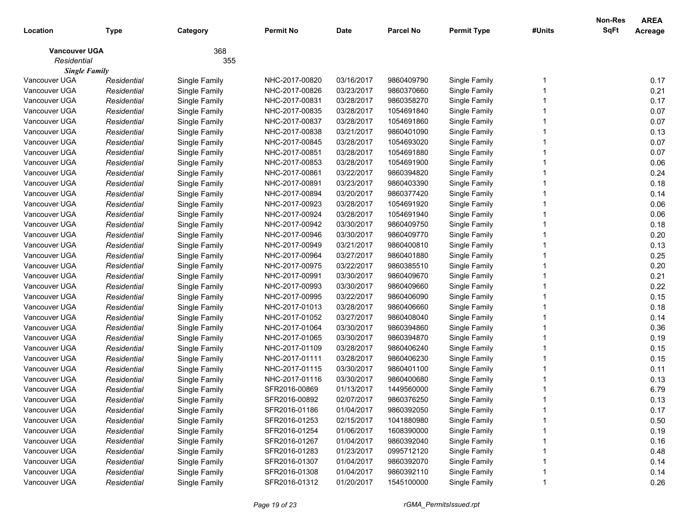|                      |             |               |                |             |                  |                    |        | Non-Res     | <b>AREA</b> |
|----------------------|-------------|---------------|----------------|-------------|------------------|--------------------|--------|-------------|-------------|
| Location             | <b>Type</b> | Category      | Permit No      | <b>Date</b> | <b>Parcel No</b> | <b>Permit Type</b> | #Units | <b>SqFt</b> | Acreage     |
| <b>Vancouver UGA</b> |             | 368           |                |             |                  |                    |        |             |             |
| Residential          |             | 355           |                |             |                  |                    |        |             |             |
| <b>Single Family</b> |             |               |                |             |                  |                    |        |             |             |
| Vancouver UGA        | Residential | Single Family | NHC-2017-00820 | 03/16/2017  | 9860409790       | Single Family      |        |             | 0.17        |
| Vancouver UGA        | Residential | Single Family | NHC-2017-00826 | 03/23/2017  | 9860370660       | Single Family      |        |             | 0.21        |
| Vancouver UGA        | Residential | Single Family | NHC-2017-00831 | 03/28/2017  | 9860358270       | Single Family      |        |             | 0.17        |
| Vancouver UGA        | Residential | Single Family | NHC-2017-00835 | 03/28/2017  | 1054691840       | Single Family      |        |             | 0.07        |
| Vancouver UGA        | Residential | Single Family | NHC-2017-00837 | 03/28/2017  | 1054691860       | Single Family      |        |             | 0.07        |
| Vancouver UGA        | Residential | Single Family | NHC-2017-00838 | 03/21/2017  | 9860401090       | Single Family      |        |             | 0.13        |
| Vancouver UGA        | Residential | Single Family | NHC-2017-00845 | 03/28/2017  | 1054693020       | Single Family      |        |             | 0.07        |
| Vancouver UGA        | Residential | Single Family | NHC-2017-00851 | 03/28/2017  | 1054691880       | Single Family      |        |             | 0.07        |
| Vancouver UGA        | Residential | Single Family | NHC-2017-00853 | 03/28/2017  | 1054691900       | Single Family      |        |             | 0.06        |
| Vancouver UGA        | Residential | Single Family | NHC-2017-00861 | 03/22/2017  | 9860394820       | Single Family      |        |             | 0.24        |
| Vancouver UGA        | Residential | Single Family | NHC-2017-00891 | 03/23/2017  | 9860403390       | Single Family      |        |             | 0.18        |
| Vancouver UGA        | Residential | Single Family | NHC-2017-00894 | 03/20/2017  | 9860377420       | Single Family      |        |             | 0.14        |
| Vancouver UGA        | Residential | Single Family | NHC-2017-00923 | 03/28/2017  | 1054691920       | Single Family      |        |             | 0.06        |
| Vancouver UGA        | Residential | Single Family | NHC-2017-00924 | 03/28/2017  | 1054691940       | Single Family      |        |             | 0.06        |
| Vancouver UGA        | Residential | Single Family | NHC-2017-00942 | 03/30/2017  | 9860409750       | Single Family      |        |             | 0.18        |
| Vancouver UGA        | Residential | Single Family | NHC-2017-00946 | 03/30/2017  | 9860409770       | Single Family      |        |             | 0.20        |
| Vancouver UGA        | Residential | Single Family | NHC-2017-00949 | 03/21/2017  | 9860400810       | Single Family      |        |             | 0.13        |
| Vancouver UGA        | Residential | Single Family | NHC-2017-00964 | 03/27/2017  | 9860401880       | Single Family      |        |             | 0.25        |
| Vancouver UGA        | Residential | Single Family | NHC-2017-00975 | 03/22/2017  | 9860385510       | Single Family      |        |             | 0.20        |
| Vancouver UGA        | Residential | Single Family | NHC-2017-00991 | 03/30/2017  | 9860409670       | Single Family      |        |             | 0.21        |
| Vancouver UGA        | Residential | Single Family | NHC-2017-00993 | 03/30/2017  | 9860409660       | Single Family      |        |             | 0.22        |
| Vancouver UGA        | Residential | Single Family | NHC-2017-00995 | 03/22/2017  | 9860406090       | Single Family      |        |             | 0.15        |
| Vancouver UGA        | Residential | Single Family | NHC-2017-01013 | 03/28/2017  | 9860406660       | Single Family      |        |             | 0.18        |
| Vancouver UGA        | Residential | Single Family | NHC-2017-01052 | 03/27/2017  | 9860408040       | Single Family      |        |             | 0.14        |
| Vancouver UGA        | Residential | Single Family | NHC-2017-01064 | 03/30/2017  | 9860394860       | Single Family      |        |             | 0.36        |
| Vancouver UGA        | Residential | Single Family | NHC-2017-01065 | 03/30/2017  | 9860394870       | Single Family      |        |             | 0.19        |
| Vancouver UGA        | Residential | Single Family | NHC-2017-01109 | 03/28/2017  | 9860406240       | Single Family      |        |             | 0.15        |
| Vancouver UGA        | Residential | Single Family | NHC-2017-01111 | 03/28/2017  | 9860406230       | Single Family      |        |             | 0.15        |
| Vancouver UGA        | Residential | Single Family | NHC-2017-01115 | 03/30/2017  | 9860401100       | Single Family      |        |             | 0.11        |
| Vancouver UGA        | Residential | Single Family | NHC-2017-01116 | 03/30/2017  | 9860400680       | Single Family      |        |             | 0.13        |
| Vancouver UGA        | Residential | Single Family | SFR2016-00869  | 01/13/2017  | 1449560000       | Single Family      |        |             | 6.79        |
| Vancouver UGA        | Residential | Single Family | SFR2016-00892  | 02/07/2017  | 9860376250       | Single Family      |        |             | 0.13        |
| Vancouver UGA        | Residential | Single Family | SFR2016-01186  | 01/04/2017  | 9860392050       | Single Family      |        |             | 0.17        |
| Vancouver UGA        | Residential | Single Family | SFR2016-01253  | 02/15/2017  | 1041880980       | Single Family      |        |             | 0.50        |
| Vancouver UGA        | Residential | Single Family | SFR2016-01254  | 01/06/2017  | 1608390000       | Single Family      |        |             | 0.19        |
| Vancouver UGA        | Residential | Single Family | SFR2016-01267  | 01/04/2017  | 9860392040       | Single Family      |        |             | 0.16        |
| Vancouver UGA        | Residential | Single Family | SFR2016-01283  | 01/23/2017  | 0995712120       | Single Family      |        |             | 0.48        |
| Vancouver UGA        | Residential | Single Family | SFR2016-01307  | 01/04/2017  | 9860392070       | Single Family      |        |             | 0.14        |
| Vancouver UGA        | Residential | Single Family | SFR2016-01308  | 01/04/2017  | 9860392110       | Single Family      |        |             | 0.14        |
| Vancouver UGA        | Residential | Single Family | SFR2016-01312  | 01/20/2017  | 1545100000       | Single Family      |        |             | 0.26        |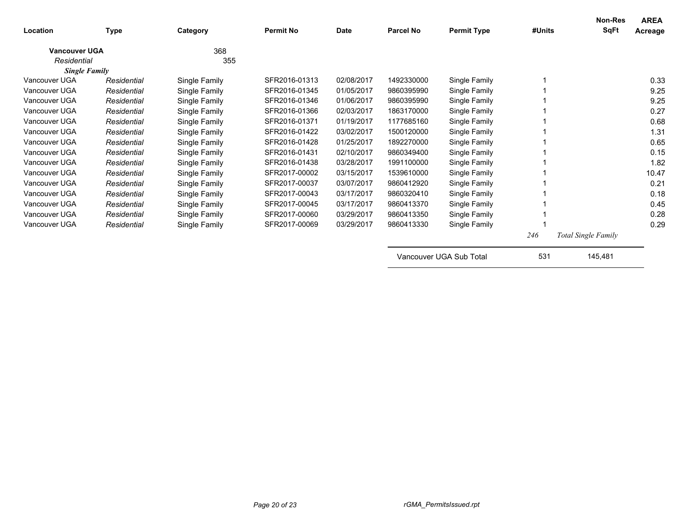| Location             | <b>Type</b> | Category      | <b>Permit No</b> | <b>Date</b> | <b>Parcel No</b> | <b>Permit Type</b>      | #Units | Non-Res<br><b>SqFt</b>     | <b>AREA</b><br>Acreage |
|----------------------|-------------|---------------|------------------|-------------|------------------|-------------------------|--------|----------------------------|------------------------|
| <b>Vancouver UGA</b> |             | 368           |                  |             |                  |                         |        |                            |                        |
| Residential          |             | 355           |                  |             |                  |                         |        |                            |                        |
| <b>Single Family</b> |             |               |                  |             |                  |                         |        |                            |                        |
| Vancouver UGA        | Residential | Single Family | SFR2016-01313    | 02/08/2017  | 1492330000       | Single Family           |        |                            | 0.33                   |
| Vancouver UGA        | Residential | Single Family | SFR2016-01345    | 01/05/2017  | 9860395990       | Single Family           |        |                            | 9.25                   |
| Vancouver UGA        | Residential | Single Family | SFR2016-01346    | 01/06/2017  | 9860395990       | Single Family           |        |                            | 9.25                   |
| Vancouver UGA        | Residential | Single Family | SFR2016-01366    | 02/03/2017  | 1863170000       | Single Family           |        |                            | 0.27                   |
| Vancouver UGA        | Residential | Single Family | SFR2016-01371    | 01/19/2017  | 1177685160       | Single Family           |        |                            | 0.68                   |
| Vancouver UGA        | Residential | Single Family | SFR2016-01422    | 03/02/2017  | 1500120000       | Single Family           |        |                            | 1.31                   |
| Vancouver UGA        | Residential | Single Family | SFR2016-01428    | 01/25/2017  | 1892270000       | Single Family           |        |                            | 0.65                   |
| Vancouver UGA        | Residential | Single Family | SFR2016-01431    | 02/10/2017  | 9860349400       | Single Family           |        |                            | 0.15                   |
| Vancouver UGA        | Residential | Single Family | SFR2016-01438    | 03/28/2017  | 1991100000       | Single Family           |        |                            | 1.82                   |
| Vancouver UGA        | Residential | Single Family | SFR2017-00002    | 03/15/2017  | 1539610000       | Single Family           |        |                            | 10.47                  |
| Vancouver UGA        | Residential | Single Family | SFR2017-00037    | 03/07/2017  | 9860412920       | Single Family           |        |                            | 0.21                   |
| Vancouver UGA        | Residential | Single Family | SFR2017-00043    | 03/17/2017  | 9860320410       | Single Family           |        |                            | 0.18                   |
| Vancouver UGA        | Residential | Single Family | SFR2017-00045    | 03/17/2017  | 9860413370       | Single Family           |        |                            | 0.45                   |
| Vancouver UGA        | Residential | Single Family | SFR2017-00060    | 03/29/2017  | 9860413350       | Single Family           |        |                            | 0.28                   |
| Vancouver UGA        | Residential | Single Family | SFR2017-00069    | 03/29/2017  | 9860413330       | Single Family           |        |                            | 0.29                   |
|                      |             |               |                  |             |                  |                         | 246    | <b>Total Single Family</b> |                        |
|                      |             |               |                  |             |                  | Vancouver UGA Sub Total | 531    | 145,481                    |                        |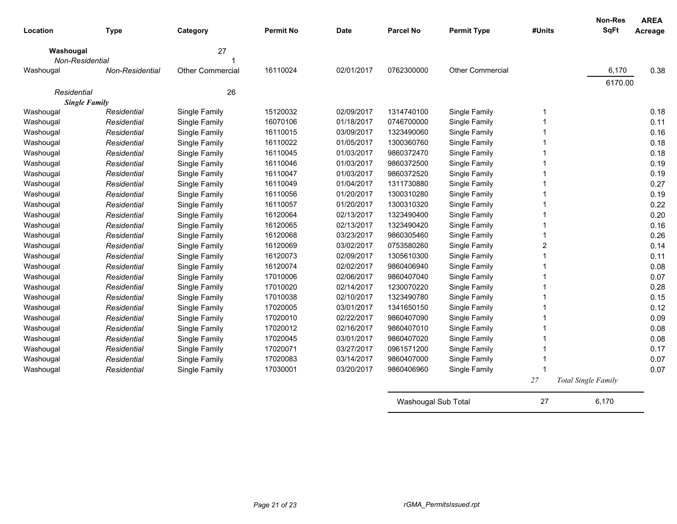| Location             | <b>Type</b>     | Category                | <b>Permit No</b> | <b>Date</b> | <b>Parcel No</b>    | <b>Permit Type</b> | #Units | <b>Non-Res</b><br>SqFt     | <b>AREA</b><br>Acreage |
|----------------------|-----------------|-------------------------|------------------|-------------|---------------------|--------------------|--------|----------------------------|------------------------|
| Washougal            |                 | 27                      |                  |             |                     |                    |        |                            |                        |
| Non-Residential      |                 |                         | 16110024         | 02/01/2017  | 0762300000          | Other Commercial   |        | 6,170                      | 0.38                   |
| Washougal            | Non-Residential | <b>Other Commercial</b> |                  |             |                     |                    |        |                            |                        |
| Residential          |                 | 26                      |                  |             |                     |                    |        | 6170.00                    |                        |
| <b>Single Family</b> |                 |                         |                  |             |                     |                    |        |                            |                        |
| Washougal            | Residential     | Single Family           | 15120032         | 02/09/2017  | 1314740100          | Single Family      | 1      |                            | 0.18                   |
| Washougal            | Residential     | Single Family           | 16070106         | 01/18/2017  | 0746700000          | Single Family      | 1      |                            | 0.11                   |
| Washougal            | Residential     | Single Family           | 16110015         | 03/09/2017  | 1323490060          | Single Family      | 1      |                            | 0.16                   |
| Washougal            | Residential     | Single Family           | 16110022         | 01/05/2017  | 1300360760          | Single Family      | 1      |                            | 0.18                   |
| Washougal            | Residential     | Single Family           | 16110045         | 01/03/2017  | 9860372470          | Single Family      | 1      |                            | 0.18                   |
| Washougal            | Residential     | Single Family           | 16110046         | 01/03/2017  | 9860372500          | Single Family      | 1      |                            | 0.19                   |
| Washougal            | Residential     | Single Family           | 16110047         | 01/03/2017  | 9860372520          | Single Family      | 1      |                            | 0.19                   |
| Washougal            | Residential     | Single Family           | 16110049         | 01/04/2017  | 1311730880          | Single Family      | 1      |                            | 0.27                   |
| Washougal            | Residential     | Single Family           | 16110056         | 01/20/2017  | 1300310280          | Single Family      | 1      |                            | 0.19                   |
| Washougal            | Residential     | Single Family           | 16110057         | 01/20/2017  | 1300310320          | Single Family      | 1      |                            | 0.22                   |
| Washougal            | Residential     | Single Family           | 16120064         | 02/13/2017  | 1323490400          | Single Family      | 1      |                            | 0.20                   |
| Washougal            | Residential     | Single Family           | 16120065         | 02/13/2017  | 1323490420          | Single Family      | 1      |                            | 0.16                   |
| Washougal            | Residential     | Single Family           | 16120068         | 03/23/2017  | 9860305460          | Single Family      |        |                            | 0.26                   |
| Washougal            | Residential     | Single Family           | 16120069         | 03/02/2017  | 0753580260          | Single Family      | 2      |                            | 0.14                   |
| Washougal            | Residential     | Single Family           | 16120073         | 02/09/2017  | 1305610300          | Single Family      |        |                            | 0.11                   |
| Washougal            | Residential     | Single Family           | 16120074         | 02/02/2017  | 9860406940          | Single Family      |        |                            | 0.08                   |
| Washougal            | Residential     | Single Family           | 17010006         | 02/06/2017  | 9860407040          | Single Family      |        |                            | 0.07                   |
| Washougal            | Residential     | Single Family           | 17010020         | 02/14/2017  | 1230070220          | Single Family      |        |                            | 0.28                   |
| Washougal            | Residential     | Single Family           | 17010038         | 02/10/2017  | 1323490780          | Single Family      |        |                            | 0.15                   |
| Washougal            | Residential     | Single Family           | 17020005         | 03/01/2017  | 1341650150          | Single Family      |        |                            | 0.12                   |
| Washougal            | Residential     | Single Family           | 17020010         | 02/22/2017  | 9860407090          | Single Family      |        |                            | 0.09                   |
| Washougal            | Residential     | Single Family           | 17020012         | 02/16/2017  | 9860407010          | Single Family      |        |                            | 0.08                   |
| Washougal            | Residential     | Single Family           | 17020045         | 03/01/2017  | 9860407020          | Single Family      |        |                            | 0.08                   |
| Washougal            | Residential     | Single Family           | 17020071         | 03/27/2017  | 0961571200          | Single Family      |        |                            | 0.17                   |
| Washougal            | Residential     | Single Family           | 17020083         | 03/14/2017  | 9860407000          | Single Family      |        |                            | 0.07                   |
| Washougal            | Residential     | Single Family           | 17030001         | 03/20/2017  | 9860406960          | Single Family      | 1      |                            | 0.07                   |
|                      |                 |                         |                  |             |                     |                    | 27     | <b>Total Single Family</b> |                        |
|                      |                 |                         |                  |             | Washougal Sub Total |                    | 27     | 6.170                      |                        |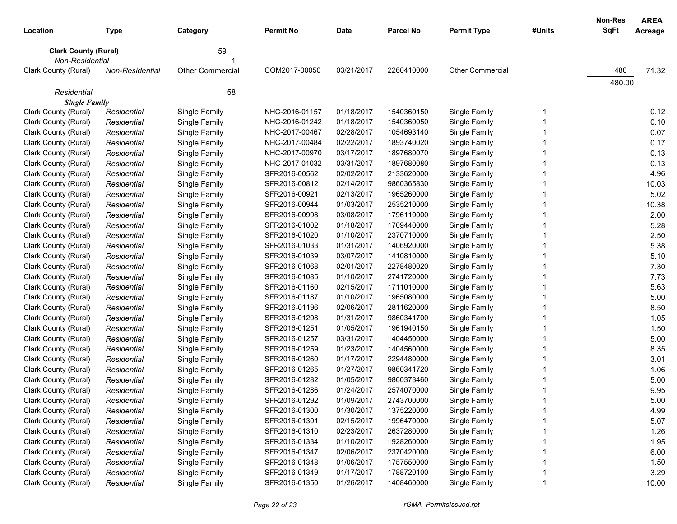| Location                                       |                            |                                | <b>Permit No</b>                 | Date                     | <b>Parcel No</b>         | <b>Permit Type</b>             | #Units | Non-Res<br><b>SqFt</b> | <b>AREA</b>  |
|------------------------------------------------|----------------------------|--------------------------------|----------------------------------|--------------------------|--------------------------|--------------------------------|--------|------------------------|--------------|
|                                                | Type                       | Category                       |                                  |                          |                          |                                |        |                        | Acreage      |
| <b>Clark County (Rural)</b><br>Non-Residential |                            | 59                             |                                  |                          |                          |                                |        |                        |              |
| Clark County (Rural)                           | Non-Residential            | <b>Other Commercial</b>        | COM2017-00050                    | 03/21/2017               | 2260410000               | <b>Other Commercial</b>        |        | 480                    | 71.32        |
|                                                |                            |                                |                                  |                          |                          |                                |        | 480.00                 |              |
| Residential                                    |                            | 58                             |                                  |                          |                          |                                |        |                        |              |
| <b>Single Family</b>                           |                            |                                |                                  |                          |                          |                                |        |                        |              |
| Clark County (Rural)                           | Residential                | Single Family                  | NHC-2016-01157                   | 01/18/2017               | 1540360150               | Single Family                  | 1      |                        | 0.12         |
| Clark County (Rural)<br>Clark County (Rural)   | Residential<br>Residential | Single Family<br>Single Family | NHC-2016-01242<br>NHC-2017-00467 | 01/18/2017<br>02/28/2017 | 1540360050<br>1054693140 | Single Family<br>Single Family |        |                        | 0.10<br>0.07 |
| Clark County (Rural)                           | Residential                | Single Family                  | NHC-2017-00484                   | 02/22/2017               | 1893740020               | Single Family                  |        |                        | 0.17         |
| Clark County (Rural)                           | Residential                | Single Family                  | NHC-2017-00970                   | 03/17/2017               | 1897680070               | Single Family                  |        |                        | 0.13         |
| Clark County (Rural)                           | Residential                | Single Family                  | NHC-2017-01032                   | 03/31/2017               | 1897680080               | Single Family                  |        |                        | 0.13         |
| Clark County (Rural)                           | Residential                | Single Family                  | SFR2016-00562                    | 02/02/2017               | 2133620000               | Single Family                  |        |                        | 4.96         |
| Clark County (Rural)                           | Residential                | Single Family                  | SFR2016-00812                    | 02/14/2017               | 9860365830               | Single Family                  |        |                        | 10.03        |
| Clark County (Rural)                           | Residential                | Single Family                  | SFR2016-00921                    | 02/13/2017               | 1965260000               | Single Family                  |        |                        | 5.02         |
| Clark County (Rural)                           | Residential                | Single Family                  | SFR2016-00944                    | 01/03/2017               | 2535210000               | Single Family                  |        |                        | 10.38        |
| Clark County (Rural)                           | Residential                | Single Family                  | SFR2016-00998                    | 03/08/2017               | 1796110000               | Single Family                  |        |                        | 2.00         |
| Clark County (Rural)                           | Residential                | Single Family                  | SFR2016-01002                    | 01/18/2017               | 1709440000               | Single Family                  |        |                        | 5.28         |
| Clark County (Rural)                           | Residential                | Single Family                  | SFR2016-01020                    | 01/10/2017               | 2370710000               | Single Family                  |        |                        | 2.50         |
| Clark County (Rural)                           | Residential                | Single Family                  | SFR2016-01033                    | 01/31/2017               | 1406920000               | Single Family                  |        |                        | 5.38         |
| Clark County (Rural)                           | Residential                | Single Family                  | SFR2016-01039                    | 03/07/2017               | 1410810000               | Single Family                  |        |                        | 5.10         |
| Clark County (Rural)                           | Residential                | Single Family                  | SFR2016-01068                    | 02/01/2017               | 2278480020               | Single Family                  |        |                        | 7.30         |
| Clark County (Rural)                           | Residential                | Single Family                  | SFR2016-01085                    | 01/10/2017               | 2741720000               | Single Family                  |        |                        | 7.73         |
| Clark County (Rural)                           | Residential                | Single Family                  | SFR2016-01160                    | 02/15/2017               | 1711010000               | Single Family                  |        |                        | 5.63         |
| Clark County (Rural)                           | Residential                | Single Family                  | SFR2016-01187                    | 01/10/2017               | 1965080000               | Single Family                  |        |                        | 5.00         |
| Clark County (Rural)                           | Residential                | Single Family                  | SFR2016-01196                    | 02/06/2017               | 2811620000               | Single Family                  |        |                        | 8.50         |
| Clark County (Rural)                           | Residential                | Single Family                  | SFR2016-01208                    | 01/31/2017               | 9860341700               | Single Family                  |        |                        | 1.05         |
| Clark County (Rural)                           | Residential                | Single Family                  | SFR2016-01251                    | 01/05/2017               | 1961940150               | Single Family                  |        |                        | 1.50         |
| Clark County (Rural)                           | Residential                | Single Family                  | SFR2016-01257                    | 03/31/2017               | 1404450000               | Single Family                  |        |                        | 5.00         |
| Clark County (Rural)                           | Residential                | Single Family                  | SFR2016-01259                    | 01/23/2017               | 1404560000               | Single Family                  |        |                        | 8.35         |
| Clark County (Rural)                           | Residential                | Single Family                  | SFR2016-01260                    | 01/17/2017               | 2294480000               | Single Family                  |        |                        | 3.01         |
| Clark County (Rural)                           | Residential                | Single Family                  | SFR2016-01265                    | 01/27/2017               | 9860341720               | Single Family                  |        |                        | 1.06         |
| Clark County (Rural)                           | Residential                | Single Family                  | SFR2016-01282                    | 01/05/2017               | 9860373460               | Single Family                  |        |                        | 5.00         |
| Clark County (Rural)                           | Residential                | Single Family                  | SFR2016-01286                    | 01/24/2017               | 2574070000               | Single Family                  |        |                        | 9.95         |
| Clark County (Rural)                           | Residential                | Single Family                  | SFR2016-01292                    | 01/09/2017               | 2743700000               | Single Family                  |        |                        | 5.00         |
| Clark County (Rural)                           | Residential                | Single Family                  | SFR2016-01300                    | 01/30/2017               | 1375220000               | Single Family                  | 1      |                        | 4.99         |
| Clark County (Rural)                           | Residential                | Single Family                  | SFR2016-01301                    | 02/15/2017               | 1996470000               | Single Family                  |        |                        | 5.07         |
| Clark County (Rural)                           | Residential                | Single Family                  | SFR2016-01310                    | 02/23/2017               | 2637280000               | Single Family                  |        |                        | 1.26         |
| Clark County (Rural)                           | Residential                | Single Family                  | SFR2016-01334                    | 01/10/2017               | 1928260000               | Single Family                  |        |                        | 1.95         |
| Clark County (Rural)                           | Residential                | Single Family                  | SFR2016-01347                    | 02/06/2017               | 2370420000               | Single Family                  |        |                        | 6.00         |
| Clark County (Rural)                           | Residential                | Single Family                  | SFR2016-01348                    | 01/06/2017               | 1757550000               | Single Family                  |        |                        | 1.50         |
| Clark County (Rural)                           | Residential                | Single Family                  | SFR2016-01349                    | 01/17/2017               | 1788720100               | Single Family                  |        |                        | 3.29         |
| Clark County (Rural)                           | Residential                | Single Family                  | SFR2016-01350                    | 01/26/2017               | 1408460000               | Single Family                  |        |                        | 10.00        |